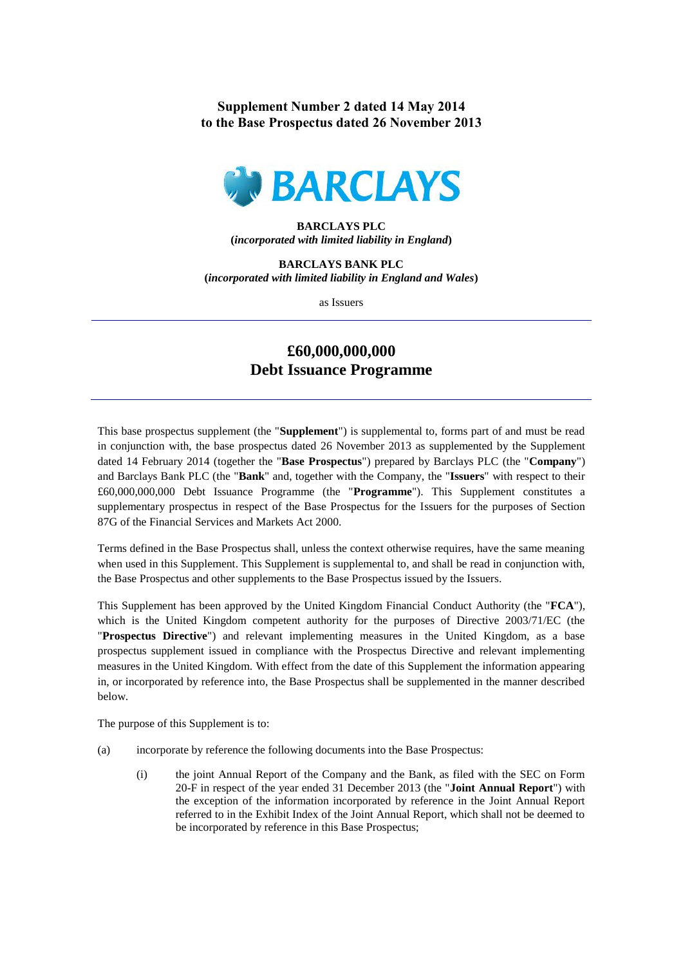**Supplement Number 2 dated 14 May 2014 to the Base Prospectus dated 26 November 2013**



## **BARCLAYS PLC (***incorporated with limited liability in England***)**

**BARCLAYS BANK PLC (***incorporated with limited liability in England and Wales***)**

as Issuers

## **£60,000,000,000 Debt Issuance Programme**

This base prospectus supplement (the "**Supplement**") is supplemental to, forms part of and must be read in conjunction with, the base prospectus dated 26 November 2013 as supplemented by the Supplement dated 14 February 2014 (together the "**Base Prospectus**") prepared by Barclays PLC (the "**Company**") and Barclays Bank PLC (the "**Bank**" and, together with the Company, the "**Issuers**" with respect to their £60,000,000,000 Debt Issuance Programme (the "**Programme**"). This Supplement constitutes a supplementary prospectus in respect of the Base Prospectus for the Issuers for the purposes of Section 87G of the Financial Services and Markets Act 2000.

Terms defined in the Base Prospectus shall, unless the context otherwise requires, have the same meaning when used in this Supplement. This Supplement is supplemental to, and shall be read in conjunction with, the Base Prospectus and other supplements to the Base Prospectus issued by the Issuers.

This Supplement has been approved by the United Kingdom Financial Conduct Authority (the "**FCA**"), which is the United Kingdom competent authority for the purposes of Directive 2003/71/EC (the "**Prospectus Directive**") and relevant implementing measures in the United Kingdom, as a base prospectus supplement issued in compliance with the Prospectus Directive and relevant implementing measures in the United Kingdom. With effect from the date of this Supplement the information appearing in, or incorporated by reference into, the Base Prospectus shall be supplemented in the manner described below.

The purpose of this Supplement is to:

- (a) incorporate by reference the following documents into the Base Prospectus:
	- (i) the joint Annual Report of the Company and the Bank, as filed with the SEC on Form 20-F in respect of the year ended 31 December 2013 (the "**Joint Annual Report**") with the exception of the information incorporated by reference in the Joint Annual Report referred to in the Exhibit Index of the Joint Annual Report, which shall not be deemed to be incorporated by reference in this Base Prospectus;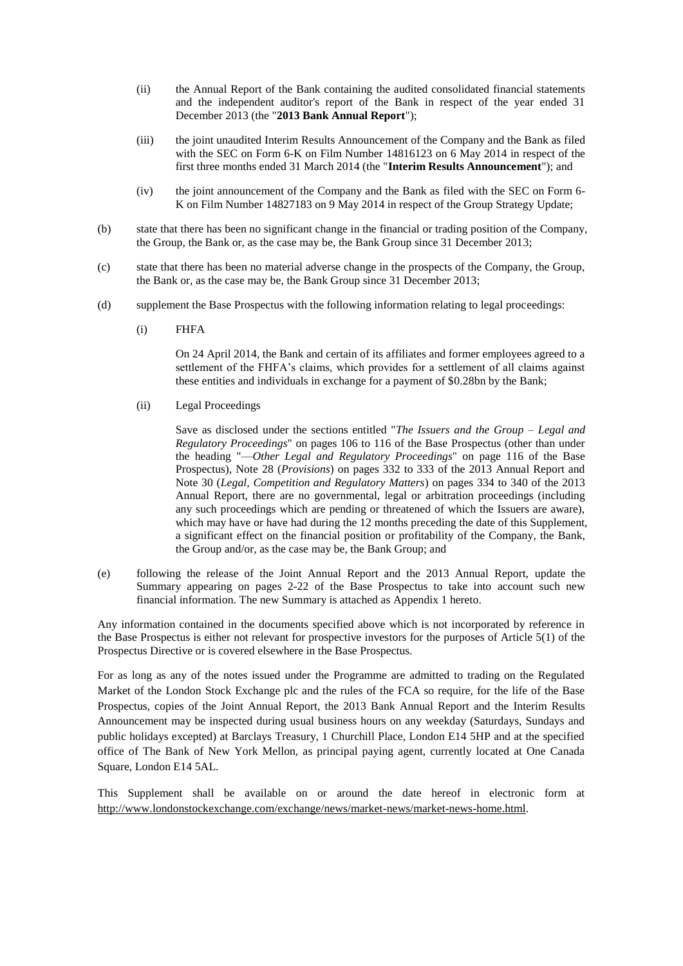- (ii) the Annual Report of the Bank containing the audited consolidated financial statements and the independent auditor's report of the Bank in respect of the year ended 31 December 2013 (the "**2013 Bank Annual Report**");
- (iii) the joint unaudited Interim Results Announcement of the Company and the Bank as filed with the SEC on Form 6-K on Film Number 14816123 on 6 May 2014 in respect of the first three months ended 31 March 2014 (the "**Interim Results Announcement**"); and
- (iv) the joint announcement of the Company and the Bank as filed with the SEC on Form 6- K on Film Number 14827183 on 9 May 2014 in respect of the Group Strategy Update;
- (b) state that there has been no significant change in the financial or trading position of the Company, the Group, the Bank or, as the case may be, the Bank Group since 31 December 2013;
- (c) state that there has been no material adverse change in the prospects of the Company, the Group, the Bank or, as the case may be, the Bank Group since 31 December 2013;
- (d) supplement the Base Prospectus with the following information relating to legal proceedings:
	- (i) FHFA

On 24 April 2014, the Bank and certain of its affiliates and former employees agreed to a settlement of the FHFA's claims, which provides for a settlement of all claims against these entities and individuals in exchange for a payment of \$0.28bn by the Bank;

(ii) Legal Proceedings

Save as disclosed under the sections entitled "*The Issuers and the Group – Legal and Regulatory Proceedings*" on pages 106 to 116 of the Base Prospectus (other than under the heading "—*Other Legal and Regulatory Proceedings*" on page 116 of the Base Prospectus), Note 28 (*Provisions*) on pages 332 to 333 of the 2013 Annual Report and Note 30 (*Legal, Competition and Regulatory Matters*) on pages 334 to 340 of the 2013 Annual Report, there are no governmental, legal or arbitration proceedings (including any such proceedings which are pending or threatened of which the Issuers are aware), which may have or have had during the 12 months preceding the date of this Supplement, a significant effect on the financial position or profitability of the Company, the Bank, the Group and/or, as the case may be, the Bank Group; and

(e) following the release of the Joint Annual Report and the 2013 Annual Report, update the Summary appearing on pages 2-22 of the Base Prospectus to take into account such new financial information. The new Summary is attached as Appendix 1 hereto.

Any information contained in the documents specified above which is not incorporated by reference in the Base Prospectus is either not relevant for prospective investors for the purposes of Article 5(1) of the Prospectus Directive or is covered elsewhere in the Base Prospectus.

For as long as any of the notes issued under the Programme are admitted to trading on the Regulated Market of the London Stock Exchange plc and the rules of the FCA so require, for the life of the Base Prospectus, copies of the Joint Annual Report, the 2013 Bank Annual Report and the Interim Results Announcement may be inspected during usual business hours on any weekday (Saturdays, Sundays and public holidays excepted) at Barclays Treasury, 1 Churchill Place, London E14 5HP and at the specified office of The Bank of New York Mellon, as principal paying agent, currently located at One Canada Square, London E14 5AL.

This Supplement shall be available on or around the date hereof in electronic form at http://www.londonstockexchange.com/exchange/news/market-news/market-news-home.html.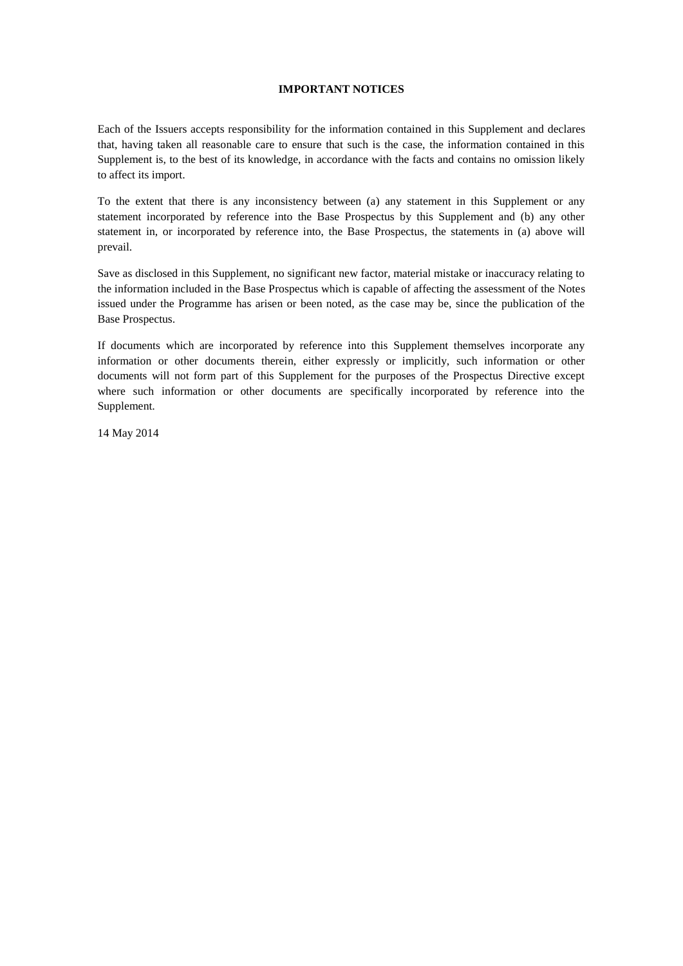## **IMPORTANT NOTICES**

Each of the Issuers accepts responsibility for the information contained in this Supplement and declares that, having taken all reasonable care to ensure that such is the case, the information contained in this Supplement is, to the best of its knowledge, in accordance with the facts and contains no omission likely to affect its import.

To the extent that there is any inconsistency between (a) any statement in this Supplement or any statement incorporated by reference into the Base Prospectus by this Supplement and (b) any other statement in, or incorporated by reference into, the Base Prospectus, the statements in (a) above will prevail.

Save as disclosed in this Supplement, no significant new factor, material mistake or inaccuracy relating to the information included in the Base Prospectus which is capable of affecting the assessment of the Notes issued under the Programme has arisen or been noted, as the case may be, since the publication of the Base Prospectus.

If documents which are incorporated by reference into this Supplement themselves incorporate any information or other documents therein, either expressly or implicitly, such information or other documents will not form part of this Supplement for the purposes of the Prospectus Directive except where such information or other documents are specifically incorporated by reference into the Supplement.

14 May 2014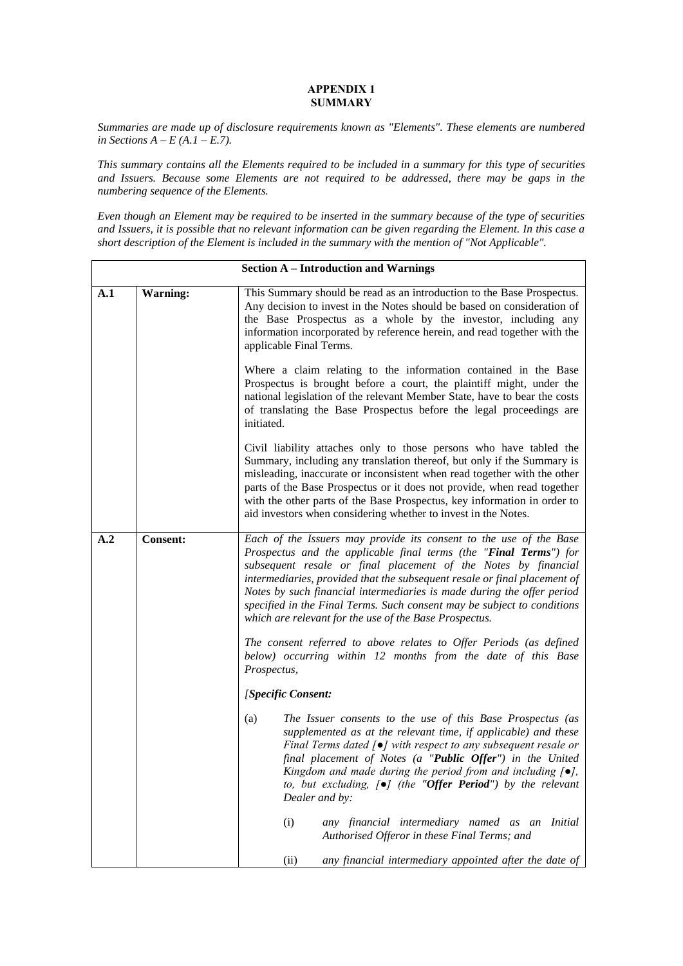## **APPENDIX 1 SUMMARY**

*Summaries are made up of disclosure requirements known as "Elements". These elements are numbered in Sections A – E (A.1 – E.7).*

*This summary contains all the Elements required to be included in a summary for this type of securities and Issuers. Because some Elements are not required to be addressed, there may be gaps in the numbering sequence of the Elements.*

*Even though an Element may be required to be inserted in the summary because of the type of securities and Issuers, it is possible that no relevant information can be given regarding the Element. In this case a short description of the Element is included in the summary with the mention of "Not Applicable".* 

|     | <b>Section A - Introduction and Warnings</b> |                                                                                                                                                                                                                                                                                                                                                                                                                                                                                                       |  |  |  |
|-----|----------------------------------------------|-------------------------------------------------------------------------------------------------------------------------------------------------------------------------------------------------------------------------------------------------------------------------------------------------------------------------------------------------------------------------------------------------------------------------------------------------------------------------------------------------------|--|--|--|
| A.1 | <b>Warning:</b>                              | This Summary should be read as an introduction to the Base Prospectus.<br>Any decision to invest in the Notes should be based on consideration of<br>the Base Prospectus as a whole by the investor, including any<br>information incorporated by reference herein, and read together with the<br>applicable Final Terms.                                                                                                                                                                             |  |  |  |
|     |                                              | Where a claim relating to the information contained in the Base<br>Prospectus is brought before a court, the plaintiff might, under the<br>national legislation of the relevant Member State, have to bear the costs<br>of translating the Base Prospectus before the legal proceedings are<br>initiated.                                                                                                                                                                                             |  |  |  |
|     |                                              | Civil liability attaches only to those persons who have tabled the<br>Summary, including any translation thereof, but only if the Summary is<br>misleading, inaccurate or inconsistent when read together with the other<br>parts of the Base Prospectus or it does not provide, when read together<br>with the other parts of the Base Prospectus, key information in order to<br>aid investors when considering whether to invest in the Notes.                                                     |  |  |  |
| A.2 | <b>Consent:</b>                              | Each of the Issuers may provide its consent to the use of the Base<br>Prospectus and the applicable final terms (the "Final Terms") for<br>subsequent resale or final placement of the Notes by financial<br>intermediaries, provided that the subsequent resale or final placement of<br>Notes by such financial intermediaries is made during the offer period<br>specified in the Final Terms. Such consent may be subject to conditions<br>which are relevant for the use of the Base Prospectus. |  |  |  |
|     |                                              | The consent referred to above relates to Offer Periods (as defined<br>below) occurring within 12 months from the date of this Base<br>Prospectus,                                                                                                                                                                                                                                                                                                                                                     |  |  |  |
|     |                                              | [Specific Consent:                                                                                                                                                                                                                                                                                                                                                                                                                                                                                    |  |  |  |
|     |                                              | The Issuer consents to the use of this Base Prospectus (as<br>(a)<br>supplemented as at the relevant time, if applicable) and these<br>Final Terms dated $\lceil \bullet \rceil$ with respect to any subsequent resale or<br>final placement of Notes (a "Public Offer") in the United<br>Kingdom and made during the period from and including $[\bullet]$ ,<br>to, but excluding, $[\bullet]$ (the "Offer Period") by the relevant<br>Dealer and by:                                                |  |  |  |
|     |                                              | (i)<br>any financial intermediary named as an Initial<br>Authorised Offeror in these Final Terms; and                                                                                                                                                                                                                                                                                                                                                                                                 |  |  |  |
|     |                                              | any financial intermediary appointed after the date of<br>(ii)                                                                                                                                                                                                                                                                                                                                                                                                                                        |  |  |  |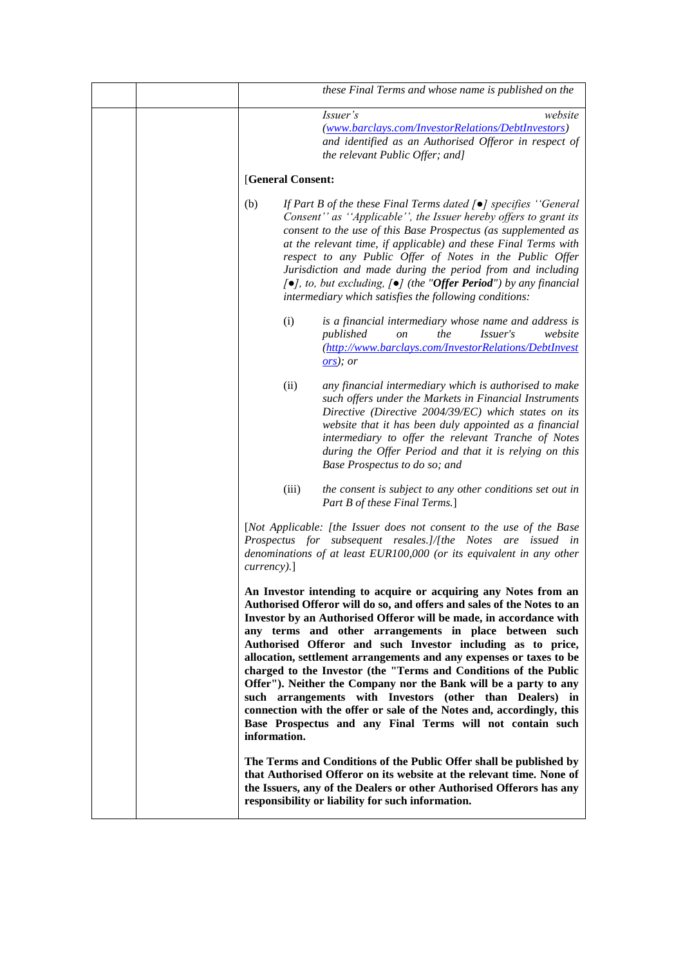|  |                   | these Final Terms and whose name is published on the                                                                                                                                                                                                                                                                                                                                                                                                                                                                                                                                                                                                                                                                                                      |
|--|-------------------|-----------------------------------------------------------------------------------------------------------------------------------------------------------------------------------------------------------------------------------------------------------------------------------------------------------------------------------------------------------------------------------------------------------------------------------------------------------------------------------------------------------------------------------------------------------------------------------------------------------------------------------------------------------------------------------------------------------------------------------------------------------|
|  |                   | Issuer's<br>website<br>(www.barclays.com/InvestorRelations/DebtInvestors)<br>and identified as an Authorised Offeror in respect of<br>the relevant Public Offer; and]                                                                                                                                                                                                                                                                                                                                                                                                                                                                                                                                                                                     |
|  | [General Consent: |                                                                                                                                                                                                                                                                                                                                                                                                                                                                                                                                                                                                                                                                                                                                                           |
|  | (b)               | If Part B of the these Final Terms dated $[\bullet]$ specifies "General<br>Consent" as "Applicable", the Issuer hereby offers to grant its<br>consent to the use of this Base Prospectus (as supplemented as<br>at the relevant time, if applicable) and these Final Terms with<br>respect to any Public Offer of Notes in the Public Offer<br>Jurisdiction and made during the period from and including<br>$[ \bullet ]$ , to, but excluding, $[ \bullet ]$ (the "Offer Period") by any financial<br>intermediary which satisfies the following conditions:                                                                                                                                                                                             |
|  | (i)               | is a financial intermediary whose name and address is<br>published<br>the<br>website<br><i>Issuer's</i><br>on<br>(http://www.barclays.com/InvestorRelations/DebtInvest<br>(ors); or                                                                                                                                                                                                                                                                                                                                                                                                                                                                                                                                                                       |
|  | (ii)              | any financial intermediary which is authorised to make<br>such offers under the Markets in Financial Instruments<br>Directive (Directive 2004/39/EC) which states on its<br>website that it has been duly appointed as a financial<br>intermediary to offer the relevant Tranche of Notes<br>during the Offer Period and that it is relying on this<br>Base Prospectus to do so; and                                                                                                                                                                                                                                                                                                                                                                      |
|  | (iii)             | the consent is subject to any other conditions set out in<br>Part B of these Final Terms.]                                                                                                                                                                                                                                                                                                                                                                                                                                                                                                                                                                                                                                                                |
|  | $curveacy$ ).]    | [Not Applicable: [the Issuer does not consent to the use of the Base<br>Prospectus for subsequent resales.]/[the Notes are issued in<br>denominations of at least EUR100,000 (or its equivalent in any other                                                                                                                                                                                                                                                                                                                                                                                                                                                                                                                                              |
|  | information.      | An Investor intending to acquire or acquiring any Notes from an<br>Authorised Offeror will do so, and offers and sales of the Notes to an<br>Investor by an Authorised Offeror will be made, in accordance with<br>any terms and other arrangements in place between such<br>Authorised Offeror and such Investor including as to price,<br>allocation, settlement arrangements and any expenses or taxes to be<br>charged to the Investor (the "Terms and Conditions of the Public<br>Offer"). Neither the Company nor the Bank will be a party to any<br>such arrangements with Investors (other than Dealers) in<br>connection with the offer or sale of the Notes and, accordingly, this<br>Base Prospectus and any Final Terms will not contain such |
|  |                   | The Terms and Conditions of the Public Offer shall be published by<br>that Authorised Offeror on its website at the relevant time. None of<br>the Issuers, any of the Dealers or other Authorised Offerors has any<br>responsibility or liability for such information.                                                                                                                                                                                                                                                                                                                                                                                                                                                                                   |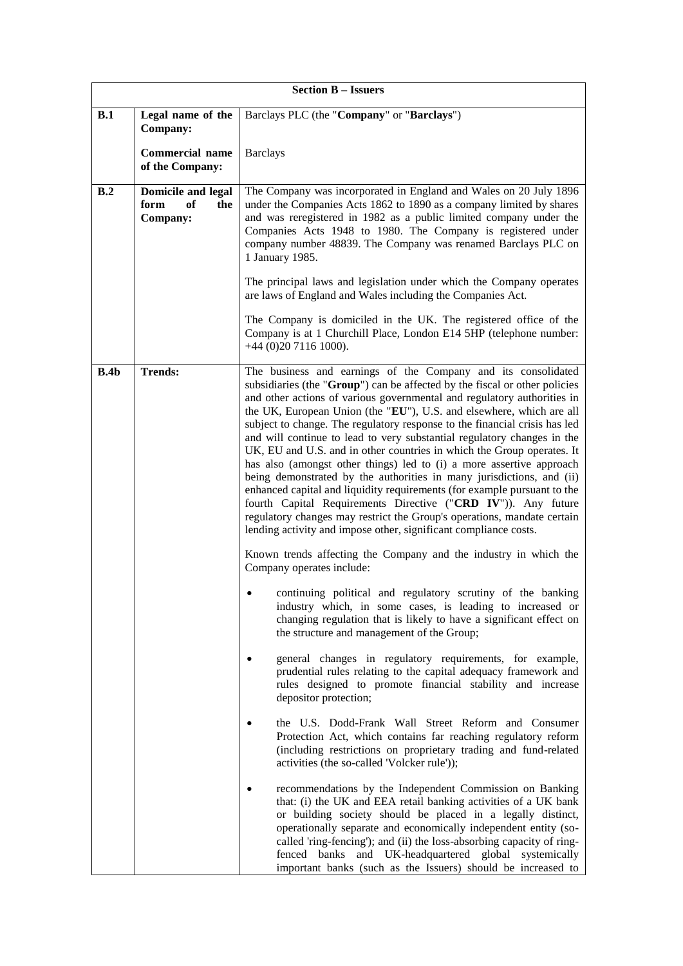|      | <b>Section B - Issuers</b>                                 |                                                                                                                                                                                                                                                                                                                                                                                                                                                                                                                                                                                                                                                                                                                                                                                                                                                                                                                                                                                |  |  |
|------|------------------------------------------------------------|--------------------------------------------------------------------------------------------------------------------------------------------------------------------------------------------------------------------------------------------------------------------------------------------------------------------------------------------------------------------------------------------------------------------------------------------------------------------------------------------------------------------------------------------------------------------------------------------------------------------------------------------------------------------------------------------------------------------------------------------------------------------------------------------------------------------------------------------------------------------------------------------------------------------------------------------------------------------------------|--|--|
| B.1  | Legal name of the<br>Company:                              | Barclays PLC (the "Company" or "Barclays")                                                                                                                                                                                                                                                                                                                                                                                                                                                                                                                                                                                                                                                                                                                                                                                                                                                                                                                                     |  |  |
|      | <b>Commercial name</b><br>of the Company:                  | <b>Barclays</b>                                                                                                                                                                                                                                                                                                                                                                                                                                                                                                                                                                                                                                                                                                                                                                                                                                                                                                                                                                |  |  |
| B.2  | <b>Domicile and legal</b><br>form<br>оf<br>the<br>Company: | The Company was incorporated in England and Wales on 20 July 1896<br>under the Companies Acts 1862 to 1890 as a company limited by shares<br>and was reregistered in 1982 as a public limited company under the<br>Companies Acts 1948 to 1980. The Company is registered under<br>company number 48839. The Company was renamed Barclays PLC on<br>1 January 1985.                                                                                                                                                                                                                                                                                                                                                                                                                                                                                                                                                                                                            |  |  |
|      |                                                            | The principal laws and legislation under which the Company operates<br>are laws of England and Wales including the Companies Act.                                                                                                                                                                                                                                                                                                                                                                                                                                                                                                                                                                                                                                                                                                                                                                                                                                              |  |  |
|      |                                                            | The Company is domiciled in the UK. The registered office of the<br>Company is at 1 Churchill Place, London E14 5HP (telephone number:<br>+44 (0)20 7116 1000).                                                                                                                                                                                                                                                                                                                                                                                                                                                                                                                                                                                                                                                                                                                                                                                                                |  |  |
| B.4b | <b>Trends:</b>                                             | The business and earnings of the Company and its consolidated<br>subsidiaries (the "Group") can be affected by the fiscal or other policies<br>and other actions of various governmental and regulatory authorities in<br>the UK, European Union (the "EU"), U.S. and elsewhere, which are all<br>subject to change. The regulatory response to the financial crisis has led<br>and will continue to lead to very substantial regulatory changes in the<br>UK, EU and U.S. and in other countries in which the Group operates. It<br>has also (amongst other things) led to (i) a more assertive approach<br>being demonstrated by the authorities in many jurisdictions, and (ii)<br>enhanced capital and liquidity requirements (for example pursuant to the<br>fourth Capital Requirements Directive ("CRD IV")). Any future<br>regulatory changes may restrict the Group's operations, mandate certain<br>lending activity and impose other, significant compliance costs. |  |  |
|      |                                                            | Known trends affecting the Company and the industry in which the<br>Company operates include:                                                                                                                                                                                                                                                                                                                                                                                                                                                                                                                                                                                                                                                                                                                                                                                                                                                                                  |  |  |
|      |                                                            | continuing political and regulatory scrutiny of the banking<br>industry which, in some cases, is leading to increased or<br>changing regulation that is likely to have a significant effect on<br>the structure and management of the Group;                                                                                                                                                                                                                                                                                                                                                                                                                                                                                                                                                                                                                                                                                                                                   |  |  |
|      |                                                            | general changes in regulatory requirements, for example,<br>prudential rules relating to the capital adequacy framework and<br>rules designed to promote financial stability and increase<br>depositor protection;                                                                                                                                                                                                                                                                                                                                                                                                                                                                                                                                                                                                                                                                                                                                                             |  |  |
|      |                                                            | the U.S. Dodd-Frank Wall Street Reform and Consumer<br>Protection Act, which contains far reaching regulatory reform<br>(including restrictions on proprietary trading and fund-related<br>activities (the so-called 'Volcker rule'));                                                                                                                                                                                                                                                                                                                                                                                                                                                                                                                                                                                                                                                                                                                                         |  |  |
|      |                                                            | recommendations by the Independent Commission on Banking<br>that: (i) the UK and EEA retail banking activities of a UK bank<br>or building society should be placed in a legally distinct,<br>operationally separate and economically independent entity (so-<br>called 'ring-fencing'); and (ii) the loss-absorbing capacity of ring-<br>fenced banks and UK-headquartered global systemically<br>important banks (such as the Issuers) should be increased to                                                                                                                                                                                                                                                                                                                                                                                                                                                                                                                |  |  |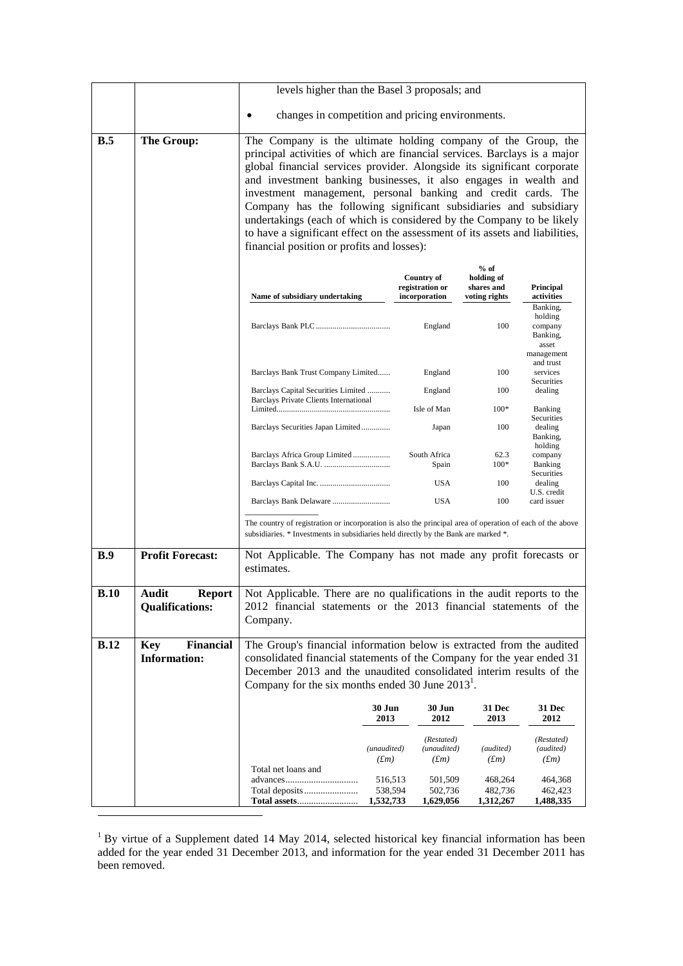|             |                                                       | levels higher than the Basel 3 proposals; and                                                                                                                                                                                                                                                                                                                                                                                                                                                                                                                                                                                           |                        |                                                       |                                                     |                                                                   |
|-------------|-------------------------------------------------------|-----------------------------------------------------------------------------------------------------------------------------------------------------------------------------------------------------------------------------------------------------------------------------------------------------------------------------------------------------------------------------------------------------------------------------------------------------------------------------------------------------------------------------------------------------------------------------------------------------------------------------------------|------------------------|-------------------------------------------------------|-----------------------------------------------------|-------------------------------------------------------------------|
|             |                                                       | changes in competition and pricing environments.                                                                                                                                                                                                                                                                                                                                                                                                                                                                                                                                                                                        |                        |                                                       |                                                     |                                                                   |
| B.5         | The Group:                                            | The Company is the ultimate holding company of the Group, the<br>principal activities of which are financial services. Barclays is a major<br>global financial services provider. Alongside its significant corporate<br>and investment banking businesses, it also engages in wealth and<br>investment management, personal banking and credit cards. The<br>Company has the following significant subsidiaries and subsidiary<br>undertakings (each of which is considered by the Company to be likely<br>to have a significant effect on the assessment of its assets and liabilities,<br>financial position or profits and losses): |                        |                                                       |                                                     |                                                                   |
|             |                                                       | Name of subsidiary undertaking                                                                                                                                                                                                                                                                                                                                                                                                                                                                                                                                                                                                          |                        | <b>Country of</b><br>registration or<br>incorporation | $%$ of<br>holding of<br>shares and<br>voting rights | <b>Principal</b><br>activities                                    |
|             |                                                       |                                                                                                                                                                                                                                                                                                                                                                                                                                                                                                                                                                                                                                         |                        | England                                               | 100                                                 | Banking,<br>holding<br>company<br>Banking,<br>asset<br>management |
|             |                                                       | Barclays Bank Trust Company Limited                                                                                                                                                                                                                                                                                                                                                                                                                                                                                                                                                                                                     |                        | England                                               | 100                                                 | and trust<br>services                                             |
|             |                                                       | Barclays Capital Securities Limited                                                                                                                                                                                                                                                                                                                                                                                                                                                                                                                                                                                                     |                        | England                                               | 100                                                 | Securities<br>dealing                                             |
|             |                                                       | Barclays Private Clients International                                                                                                                                                                                                                                                                                                                                                                                                                                                                                                                                                                                                  |                        | Isle of Man                                           | $100*$                                              | Banking                                                           |
|             |                                                       | Barclays Securities Japan Limited                                                                                                                                                                                                                                                                                                                                                                                                                                                                                                                                                                                                       |                        | Japan                                                 | 100                                                 | Securities<br>dealing<br>Banking,<br>holding                      |
|             |                                                       | Barclays Africa Group Limited                                                                                                                                                                                                                                                                                                                                                                                                                                                                                                                                                                                                           |                        | South Africa<br>Spain                                 | 62.3<br>$100*$                                      | company<br><b>Banking</b>                                         |
|             |                                                       |                                                                                                                                                                                                                                                                                                                                                                                                                                                                                                                                                                                                                                         |                        | <b>USA</b>                                            | 100                                                 | Securities<br>dealing                                             |
|             |                                                       | Barclays Bank Delaware                                                                                                                                                                                                                                                                                                                                                                                                                                                                                                                                                                                                                  |                        | <b>USA</b>                                            | 100                                                 | U.S. credit<br>card issuer                                        |
|             |                                                       | The country of registration or incorporation is also the principal area of operation of each of the above<br>subsidiaries. * Investments in subsidiaries held directly by the Bank are marked *.                                                                                                                                                                                                                                                                                                                                                                                                                                        |                        |                                                       |                                                     |                                                                   |
| B.9         | <b>Profit Forecast:</b>                               | Not Applicable. The Company has not made any profit forecasts or<br>estimates.                                                                                                                                                                                                                                                                                                                                                                                                                                                                                                                                                          |                        |                                                       |                                                     |                                                                   |
| B.10        | Report<br>Audit<br><b>Qualifications:</b>             | Not Applicable. There are no qualifications in the audit reports to the<br>2012 financial statements or the 2013 financial statements of the<br>Company.                                                                                                                                                                                                                                                                                                                                                                                                                                                                                |                        |                                                       |                                                     |                                                                   |
| <b>B.12</b> | <b>Financial</b><br><b>Key</b><br><b>Information:</b> | The Group's financial information below is extracted from the audited<br>consolidated financial statements of the Company for the year ended 31<br>December 2013 and the unaudited consolidated interim results of the<br>Company for the six months ended 30 June $20131$ .                                                                                                                                                                                                                                                                                                                                                            |                        |                                                       |                                                     |                                                                   |
|             |                                                       |                                                                                                                                                                                                                                                                                                                                                                                                                                                                                                                                                                                                                                         | 30 Jun<br>2013         | 30 Jun<br>2012                                        | 31 Dec<br>2013                                      | <b>31 Dec</b><br>2012                                             |
|             |                                                       | Total net loans and                                                                                                                                                                                                                                                                                                                                                                                                                                                                                                                                                                                                                     | (unaudited)<br>$(f_m)$ | (Restated)<br>(unaudited)<br>$(f_m)$                  | (audited)<br>(fm)                                   | (Restated)<br>(audited)<br>$(f_m)$                                |
|             |                                                       | advances                                                                                                                                                                                                                                                                                                                                                                                                                                                                                                                                                                                                                                | 516,513<br>538,594     | 501,509<br>502,736                                    | 468,264<br>482,736                                  | 464,368<br>462,423                                                |
|             |                                                       | <b>Total assets</b>                                                                                                                                                                                                                                                                                                                                                                                                                                                                                                                                                                                                                     | 1,532,733              | 1,629,056                                             | 1,312,267                                           | 1,488,335                                                         |

 $1$  By virtue of a Supplement dated 14 May 2014, selected historical key financial information has been added for the year ended 31 December 2013, and information for the year ended 31 December 2011 has been removed.

1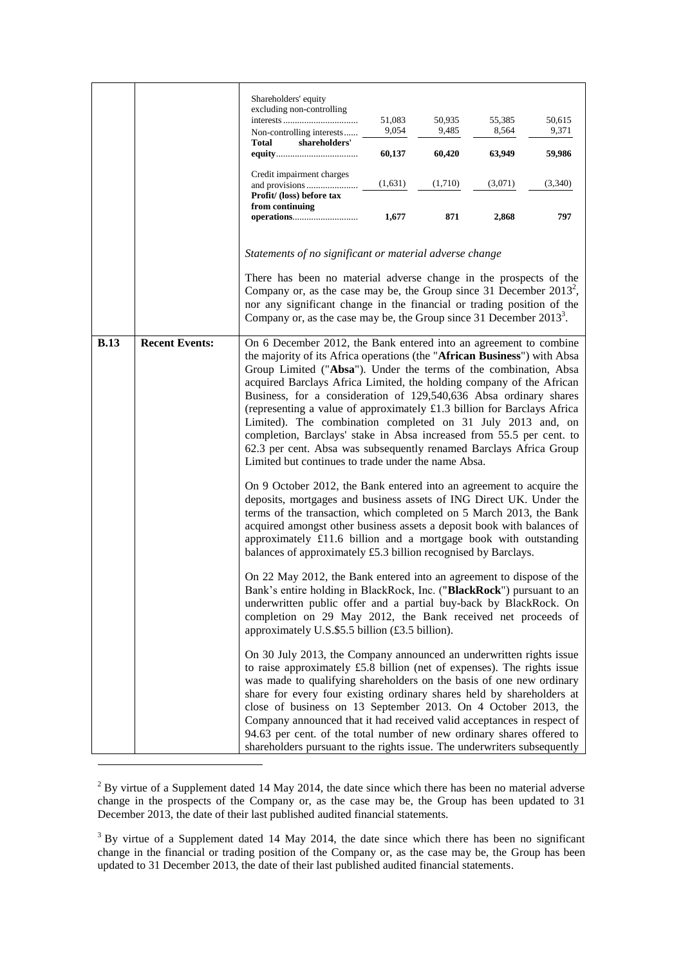|             |                       | Shareholders' equity<br>excluding non-controlling<br>Non-controlling interests<br>shareholders'<br>Total<br>Credit impairment charges<br>Profit/ (loss) before tax<br>from continuing                                                                                                                                                                                                                                                                                                                                                                                                                                                                                                                         | 51,083<br>9,054<br>60,137<br>(1,631)<br>1,677 | 50,935<br>9,485<br>60,420<br>(1,710)<br>871 | 55,385<br>8,564<br>63,949<br>(3,071)<br>2,868 | 50,615<br>9,371<br>59,986<br>(3,340)<br>797 |
|-------------|-----------------------|---------------------------------------------------------------------------------------------------------------------------------------------------------------------------------------------------------------------------------------------------------------------------------------------------------------------------------------------------------------------------------------------------------------------------------------------------------------------------------------------------------------------------------------------------------------------------------------------------------------------------------------------------------------------------------------------------------------|-----------------------------------------------|---------------------------------------------|-----------------------------------------------|---------------------------------------------|
|             |                       | Statements of no significant or material adverse change<br>There has been no material adverse change in the prospects of the<br>Company or, as the case may be, the Group since 31 December $2013^2$ ,<br>nor any significant change in the financial or trading position of the<br>Company or, as the case may be, the Group since $31$ December $2013^3$ .                                                                                                                                                                                                                                                                                                                                                  |                                               |                                             |                                               |                                             |
| <b>B.13</b> | <b>Recent Events:</b> | On 6 December 2012, the Bank entered into an agreement to combine<br>the majority of its Africa operations (the "African Business") with Absa<br>Group Limited ("Absa"). Under the terms of the combination, Absa<br>acquired Barclays Africa Limited, the holding company of the African<br>Business, for a consideration of 129,540,636 Absa ordinary shares<br>(representing a value of approximately £1.3 billion for Barclays Africa<br>Limited). The combination completed on 31 July 2013 and, on<br>completion, Barclays' stake in Absa increased from 55.5 per cent. to<br>62.3 per cent. Absa was subsequently renamed Barclays Africa Group<br>Limited but continues to trade under the name Absa. |                                               |                                             |                                               |                                             |
|             |                       | On 9 October 2012, the Bank entered into an agreement to acquire the<br>deposits, mortgages and business assets of ING Direct UK. Under the<br>terms of the transaction, which completed on 5 March 2013, the Bank<br>acquired amongst other business assets a deposit book with balances of<br>approximately £11.6 billion and a mortgage book with outstanding<br>balances of approximately £5.3 billion recognised by Barclays.                                                                                                                                                                                                                                                                            |                                               |                                             |                                               |                                             |
|             |                       | On 22 May 2012, the Bank entered into an agreement to dispose of the<br>Bank's entire holding in BlackRock, Inc. ("BlackRock") pursuant to an<br>underwritten public offer and a partial buy-back by BlackRock. On<br>completion on 29 May 2012, the Bank received net proceeds of<br>approximately U.S.\$5.5 billion (£3.5 billion).                                                                                                                                                                                                                                                                                                                                                                         |                                               |                                             |                                               |                                             |
|             |                       | On 30 July 2013, the Company announced an underwritten rights issue<br>to raise approximately £5.8 billion (net of expenses). The rights issue<br>was made to qualifying shareholders on the basis of one new ordinary<br>share for every four existing ordinary shares held by shareholders at<br>close of business on 13 September 2013. On 4 October 2013, the<br>Company announced that it had received valid acceptances in respect of<br>94.63 per cent. of the total number of new ordinary shares offered to<br>shareholders pursuant to the rights issue. The underwriters subsequently                                                                                                              |                                               |                                             |                                               |                                             |

 $2$  By virtue of a Supplement dated 14 May 2014, the date since which there has been no material adverse change in the prospects of the Company or, as the case may be, the Group has been updated to 31 December 2013, the date of their last published audited financial statements.

 $\overline{a}$ 

<sup>&</sup>lt;sup>3</sup> By virtue of a Supplement dated 14 May 2014, the date since which there has been no significant change in the financial or trading position of the Company or, as the case may be, the Group has been updated to 31 December 2013, the date of their last published audited financial statements.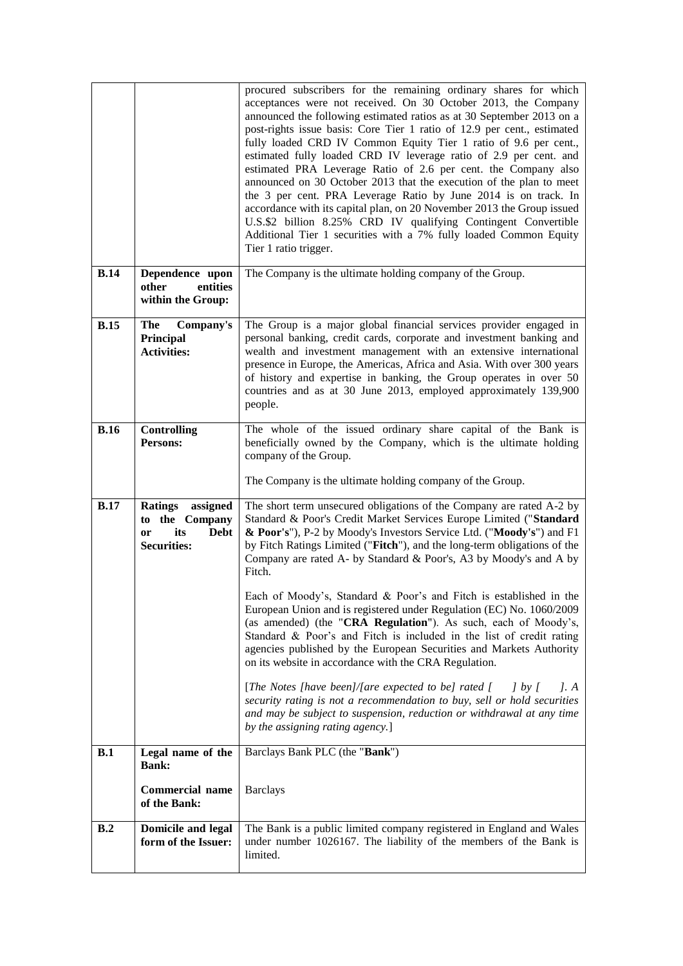|             |                                                                                      | procured subscribers for the remaining ordinary shares for which<br>acceptances were not received. On 30 October 2013, the Company<br>announced the following estimated ratios as at 30 September 2013 on a<br>post-rights issue basis: Core Tier 1 ratio of 12.9 per cent., estimated<br>fully loaded CRD IV Common Equity Tier 1 ratio of 9.6 per cent.,<br>estimated fully loaded CRD IV leverage ratio of 2.9 per cent. and<br>estimated PRA Leverage Ratio of 2.6 per cent. the Company also<br>announced on 30 October 2013 that the execution of the plan to meet<br>the 3 per cent. PRA Leverage Ratio by June 2014 is on track. In<br>accordance with its capital plan, on 20 November 2013 the Group issued<br>U.S.\$2 billion 8.25% CRD IV qualifying Contingent Convertible<br>Additional Tier 1 securities with a 7% fully loaded Common Equity<br>Tier 1 ratio trigger.                                                                                                                                                                                            |
|-------------|--------------------------------------------------------------------------------------|----------------------------------------------------------------------------------------------------------------------------------------------------------------------------------------------------------------------------------------------------------------------------------------------------------------------------------------------------------------------------------------------------------------------------------------------------------------------------------------------------------------------------------------------------------------------------------------------------------------------------------------------------------------------------------------------------------------------------------------------------------------------------------------------------------------------------------------------------------------------------------------------------------------------------------------------------------------------------------------------------------------------------------------------------------------------------------|
| <b>B.14</b> | Dependence upon<br>other<br>entities<br>within the Group:                            | The Company is the ultimate holding company of the Group.                                                                                                                                                                                                                                                                                                                                                                                                                                                                                                                                                                                                                                                                                                                                                                                                                                                                                                                                                                                                                        |
| <b>B.15</b> | The<br>Company's<br>Principal<br><b>Activities:</b>                                  | The Group is a major global financial services provider engaged in<br>personal banking, credit cards, corporate and investment banking and<br>wealth and investment management with an extensive international<br>presence in Europe, the Americas, Africa and Asia. With over 300 years<br>of history and expertise in banking, the Group operates in over 50<br>countries and as at 30 June 2013, employed approximately 139,900<br>people.                                                                                                                                                                                                                                                                                                                                                                                                                                                                                                                                                                                                                                    |
| B.16        | <b>Controlling</b><br>Persons:                                                       | The whole of the issued ordinary share capital of the Bank is<br>beneficially owned by the Company, which is the ultimate holding<br>company of the Group.<br>The Company is the ultimate holding company of the Group.                                                                                                                                                                                                                                                                                                                                                                                                                                                                                                                                                                                                                                                                                                                                                                                                                                                          |
| B.17        | Ratings assigned<br>to the Company<br>its<br><b>Debt</b><br>or<br><b>Securities:</b> | The short term unsecured obligations of the Company are rated A-2 by<br>Standard & Poor's Credit Market Services Europe Limited ("Standard<br>& Poor's"), P-2 by Moody's Investors Service Ltd. ("Moody's") and F1<br>by Fitch Ratings Limited ("Fitch"), and the long-term obligations of the<br>Company are rated A- by Standard & Poor's, A3 by Moody's and A by<br>Fitch.<br>Each of Moody's, Standard & Poor's and Fitch is established in the<br>European Union and is registered under Regulation (EC) No. 1060/2009<br>(as amended) (the "CRA Regulation"). As such, each of Moody's,<br>Standard & Poor's and Fitch is included in the list of credit rating<br>agencies published by the European Securities and Markets Authority<br>on its website in accordance with the CRA Regulation.<br>[The Notes [have been]/[are expected to be] rated [<br>$\int$ by $\int$<br>l. A<br>security rating is not a recommendation to buy, sell or hold securities<br>and may be subject to suspension, reduction or withdrawal at any time<br>by the assigning rating agency.] |
| B.1         | Legal name of the<br><b>Bank:</b><br><b>Commercial name</b><br>of the Bank:          | Barclays Bank PLC (the "Bank")<br><b>Barclays</b>                                                                                                                                                                                                                                                                                                                                                                                                                                                                                                                                                                                                                                                                                                                                                                                                                                                                                                                                                                                                                                |
| B.2         | <b>Domicile and legal</b><br>form of the Issuer:                                     | The Bank is a public limited company registered in England and Wales<br>under number 1026167. The liability of the members of the Bank is<br>limited.                                                                                                                                                                                                                                                                                                                                                                                                                                                                                                                                                                                                                                                                                                                                                                                                                                                                                                                            |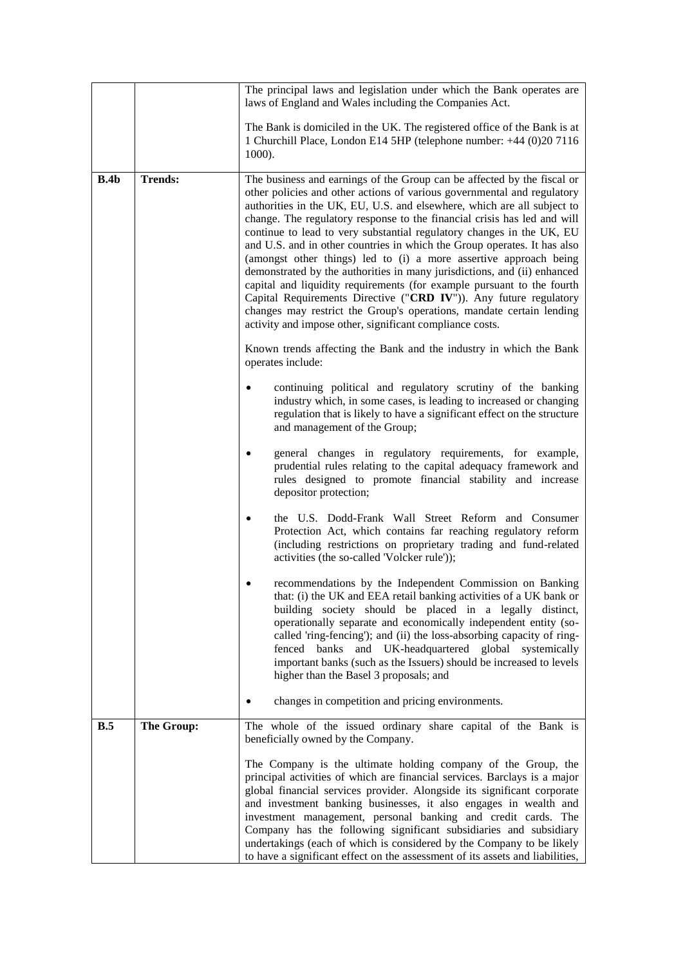|      |                | The principal laws and legislation under which the Bank operates are<br>laws of England and Wales including the Companies Act.                                                                                                                                                                                                                                                                                                                                                                                                                                                                                                                                                                                                                                                                                                                                                                     |
|------|----------------|----------------------------------------------------------------------------------------------------------------------------------------------------------------------------------------------------------------------------------------------------------------------------------------------------------------------------------------------------------------------------------------------------------------------------------------------------------------------------------------------------------------------------------------------------------------------------------------------------------------------------------------------------------------------------------------------------------------------------------------------------------------------------------------------------------------------------------------------------------------------------------------------------|
|      |                | The Bank is domiciled in the UK. The registered office of the Bank is at<br>1 Churchill Place, London E14 5HP (telephone number: +44 (0)20 7116<br>1000).                                                                                                                                                                                                                                                                                                                                                                                                                                                                                                                                                                                                                                                                                                                                          |
| B.4b | <b>Trends:</b> | The business and earnings of the Group can be affected by the fiscal or<br>other policies and other actions of various governmental and regulatory<br>authorities in the UK, EU, U.S. and elsewhere, which are all subject to<br>change. The regulatory response to the financial crisis has led and will<br>continue to lead to very substantial regulatory changes in the UK, EU<br>and U.S. and in other countries in which the Group operates. It has also<br>(amongst other things) led to (i) a more assertive approach being<br>demonstrated by the authorities in many jurisdictions, and (ii) enhanced<br>capital and liquidity requirements (for example pursuant to the fourth<br>Capital Requirements Directive ("CRD IV")). Any future regulatory<br>changes may restrict the Group's operations, mandate certain lending<br>activity and impose other, significant compliance costs. |
|      |                | Known trends affecting the Bank and the industry in which the Bank<br>operates include:                                                                                                                                                                                                                                                                                                                                                                                                                                                                                                                                                                                                                                                                                                                                                                                                            |
|      |                | continuing political and regulatory scrutiny of the banking<br>٠<br>industry which, in some cases, is leading to increased or changing<br>regulation that is likely to have a significant effect on the structure<br>and management of the Group;                                                                                                                                                                                                                                                                                                                                                                                                                                                                                                                                                                                                                                                  |
|      |                | general changes in regulatory requirements, for example,<br>prudential rules relating to the capital adequacy framework and<br>rules designed to promote financial stability and increase<br>depositor protection;                                                                                                                                                                                                                                                                                                                                                                                                                                                                                                                                                                                                                                                                                 |
|      |                | the U.S. Dodd-Frank Wall Street Reform and Consumer<br>Protection Act, which contains far reaching regulatory reform<br>(including restrictions on proprietary trading and fund-related<br>activities (the so-called 'Volcker rule'));                                                                                                                                                                                                                                                                                                                                                                                                                                                                                                                                                                                                                                                             |
|      |                | recommendations by the Independent Commission on Banking<br>that: (i) the UK and EEA retail banking activities of a UK bank or<br>building society should be placed in a legally distinct,<br>operationally separate and economically independent entity (so-<br>called 'ring-fencing'); and (ii) the loss-absorbing capacity of ring-<br>fenced banks and UK-headquartered global systemically<br>important banks (such as the Issuers) should be increased to levels<br>higher than the Basel 3 proposals; and                                                                                                                                                                                                                                                                                                                                                                                   |
|      |                | changes in competition and pricing environments.                                                                                                                                                                                                                                                                                                                                                                                                                                                                                                                                                                                                                                                                                                                                                                                                                                                   |
| B.5  | The Group:     | The whole of the issued ordinary share capital of the Bank is<br>beneficially owned by the Company.                                                                                                                                                                                                                                                                                                                                                                                                                                                                                                                                                                                                                                                                                                                                                                                                |
|      |                | The Company is the ultimate holding company of the Group, the<br>principal activities of which are financial services. Barclays is a major<br>global financial services provider. Alongside its significant corporate<br>and investment banking businesses, it also engages in wealth and<br>investment management, personal banking and credit cards. The<br>Company has the following significant subsidiaries and subsidiary<br>undertakings (each of which is considered by the Company to be likely<br>to have a significant effect on the assessment of its assets and liabilities,                                                                                                                                                                                                                                                                                                          |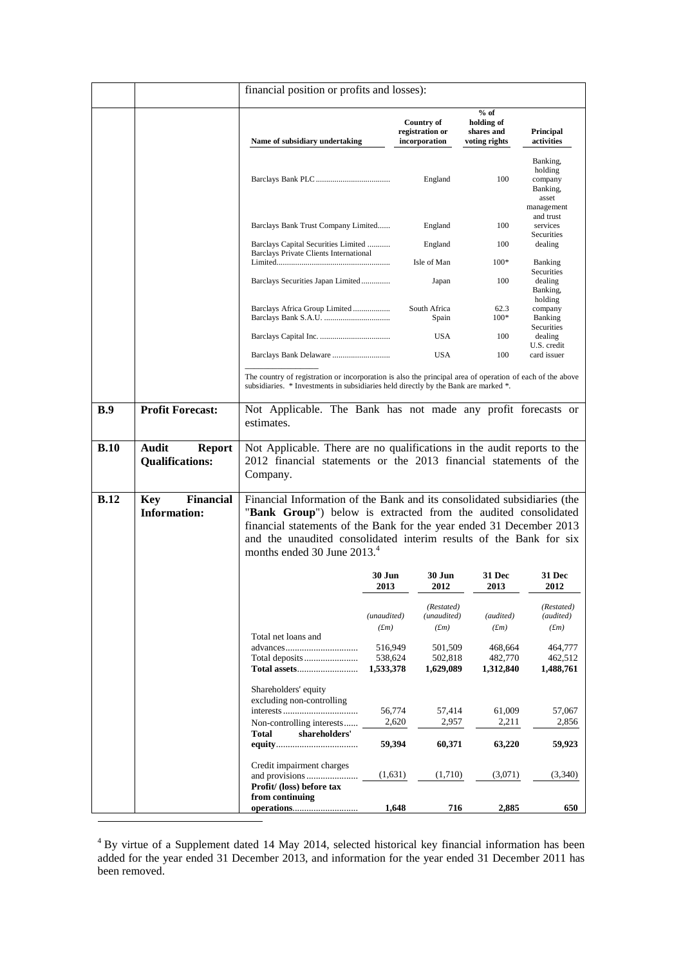|             |                                                         | financial position or profits and losses):                                                                                                                                                                                                                                                                                          |                                 |                                                       |                                                     |                                                                   |
|-------------|---------------------------------------------------------|-------------------------------------------------------------------------------------------------------------------------------------------------------------------------------------------------------------------------------------------------------------------------------------------------------------------------------------|---------------------------------|-------------------------------------------------------|-----------------------------------------------------|-------------------------------------------------------------------|
|             |                                                         | Name of subsidiary undertaking                                                                                                                                                                                                                                                                                                      |                                 | <b>Country of</b><br>registration or<br>incorporation | $%$ of<br>holding of<br>shares and<br>voting rights | Principal<br>activities                                           |
|             |                                                         |                                                                                                                                                                                                                                                                                                                                     |                                 | England                                               | 100                                                 | Banking,<br>holding<br>company<br>Banking,<br>asset<br>management |
|             |                                                         | Barclays Bank Trust Company Limited                                                                                                                                                                                                                                                                                                 |                                 | England                                               | 100                                                 | and trust<br>services<br>Securities                               |
|             |                                                         | Barclays Capital Securities Limited<br>Barclays Private Clients International                                                                                                                                                                                                                                                       |                                 | England                                               | 100                                                 | dealing                                                           |
|             |                                                         |                                                                                                                                                                                                                                                                                                                                     |                                 | Isle of Man                                           | $100*$                                              | <b>Banking</b><br>Securities                                      |
|             |                                                         | Barclays Securities Japan Limited                                                                                                                                                                                                                                                                                                   |                                 | Japan                                                 | 100                                                 | dealing<br>Banking,<br>holding                                    |
|             |                                                         | Barclays Africa Group Limited                                                                                                                                                                                                                                                                                                       |                                 | South Africa<br>Spain                                 | 62.3<br>$100*$                                      | company<br>Banking                                                |
|             |                                                         |                                                                                                                                                                                                                                                                                                                                     |                                 | USA                                                   | 100                                                 | Securities<br>dealing                                             |
|             |                                                         |                                                                                                                                                                                                                                                                                                                                     |                                 | <b>USA</b>                                            | 100                                                 | U.S. credit<br>card issuer                                        |
|             |                                                         | The country of registration or incorporation is also the principal area of operation of each of the above<br>subsidiaries. * Investments in subsidiaries held directly by the Bank are marked *.                                                                                                                                    |                                 |                                                       |                                                     |                                                                   |
| B.9         | <b>Profit Forecast:</b>                                 | Not Applicable. The Bank has not made any profit forecasts or<br>estimates.                                                                                                                                                                                                                                                         |                                 |                                                       |                                                     |                                                                   |
| B.10        | <b>Audit</b><br><b>Report</b><br><b>Qualifications:</b> | Not Applicable. There are no qualifications in the audit reports to the<br>2012 financial statements or the 2013 financial statements of the<br>Company.                                                                                                                                                                            |                                 |                                                       |                                                     |                                                                   |
| <b>B.12</b> | <b>Financial</b><br><b>Key</b><br><b>Information:</b>   | Financial Information of the Bank and its consolidated subsidiaries (the<br>"Bank Group") below is extracted from the audited consolidated<br>financial statements of the Bank for the year ended 31 December 2013<br>and the unaudited consolidated interim results of the Bank for six<br>months ended 30 June 2013. <sup>4</sup> |                                 |                                                       |                                                     |                                                                   |
|             |                                                         |                                                                                                                                                                                                                                                                                                                                     | <b>30 Jun</b><br>2013           | 30 Jun<br>2012                                        | 31 Dec<br>2013                                      | <b>31 Dec</b><br>2012                                             |
|             |                                                         | Total net loans and                                                                                                                                                                                                                                                                                                                 | (unaudited)<br>(fm)             | (Restated)<br>(unaudited)<br>(fm)                     | (audited)<br>(fm)                                   | (Restated)<br>(audited)<br>(fm)                                   |
|             |                                                         | Total assets                                                                                                                                                                                                                                                                                                                        | 516,949<br>538,624<br>1,533,378 | 501,509<br>502,818<br>1,629,089                       | 468,664<br>482,770<br>1,312,840                     | 464,777<br>462,512<br>1,488,761                                   |
|             |                                                         | Shareholders' equity<br>excluding non-controlling                                                                                                                                                                                                                                                                                   | 56,774                          | 57,414                                                | 61,009                                              | 57,067                                                            |
|             |                                                         | Non-controlling interests<br>shareholders'<br><b>Total</b>                                                                                                                                                                                                                                                                          | 2,620                           | 2,957                                                 | 2,211                                               | 2,856                                                             |
|             |                                                         |                                                                                                                                                                                                                                                                                                                                     | 59,394                          | 60,371                                                | 63,220                                              | 59,923                                                            |
|             |                                                         | Credit impairment charges<br>Profit/ (loss) before tax                                                                                                                                                                                                                                                                              | (1,631)                         | (1,710)                                               | (3,071)                                             | (3,340)                                                           |
|             |                                                         | from continuing                                                                                                                                                                                                                                                                                                                     | 1,648                           | 716                                                   | 2,885                                               | 650                                                               |

 $4$  By virtue of a Supplement dated 14 May 2014, selected historical key financial information has been added for the year ended 31 December 2013, and information for the year ended 31 December 2011 has been removed.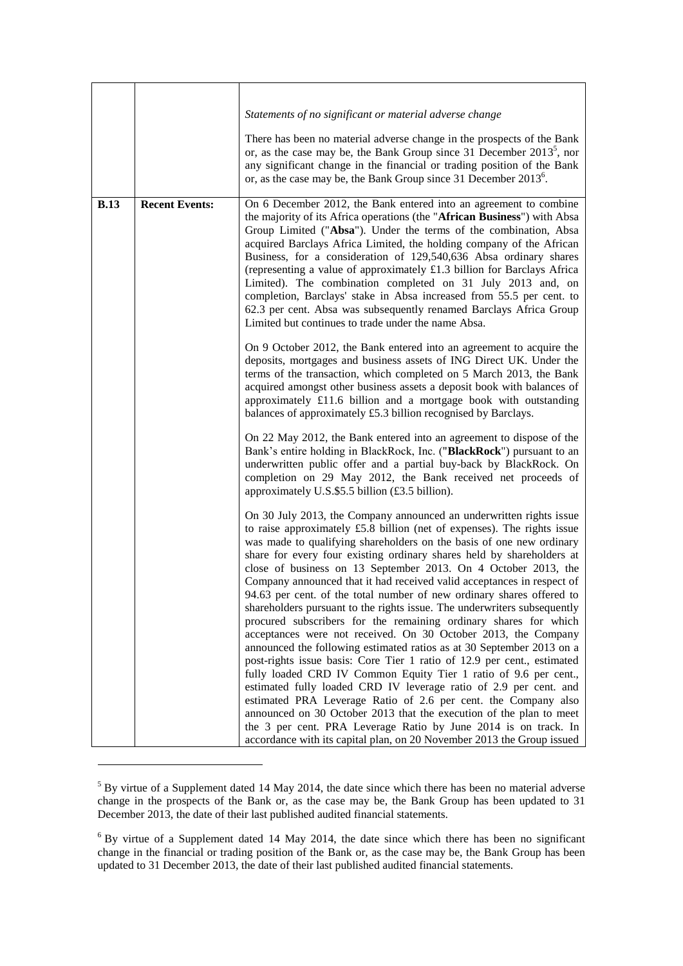|             |                       | Statements of no significant or material adverse change                                                                                                                                                                                                                                                                                                                                                                                                                                                                                                                                                                                                                                                                                                                                                                                                                                                                                                                                                                                                                                                                                                                                                                                                                                                                   |
|-------------|-----------------------|---------------------------------------------------------------------------------------------------------------------------------------------------------------------------------------------------------------------------------------------------------------------------------------------------------------------------------------------------------------------------------------------------------------------------------------------------------------------------------------------------------------------------------------------------------------------------------------------------------------------------------------------------------------------------------------------------------------------------------------------------------------------------------------------------------------------------------------------------------------------------------------------------------------------------------------------------------------------------------------------------------------------------------------------------------------------------------------------------------------------------------------------------------------------------------------------------------------------------------------------------------------------------------------------------------------------------|
|             |                       | There has been no material adverse change in the prospects of the Bank<br>or, as the case may be, the Bank Group since 31 December $2013^5$ , nor<br>any significant change in the financial or trading position of the Bank<br>or, as the case may be, the Bank Group since 31 December $2013^{\circ}$ .                                                                                                                                                                                                                                                                                                                                                                                                                                                                                                                                                                                                                                                                                                                                                                                                                                                                                                                                                                                                                 |
| <b>B.13</b> | <b>Recent Events:</b> | On 6 December 2012, the Bank entered into an agreement to combine<br>the majority of its Africa operations (the "African Business") with Absa<br>Group Limited ("Absa"). Under the terms of the combination, Absa<br>acquired Barclays Africa Limited, the holding company of the African<br>Business, for a consideration of 129,540,636 Absa ordinary shares<br>(representing a value of approximately £1.3 billion for Barclays Africa<br>Limited). The combination completed on 31 July 2013 and, on<br>completion, Barclays' stake in Absa increased from 55.5 per cent. to<br>62.3 per cent. Absa was subsequently renamed Barclays Africa Group<br>Limited but continues to trade under the name Absa.                                                                                                                                                                                                                                                                                                                                                                                                                                                                                                                                                                                                             |
|             |                       | On 9 October 2012, the Bank entered into an agreement to acquire the<br>deposits, mortgages and business assets of ING Direct UK. Under the<br>terms of the transaction, which completed on 5 March 2013, the Bank<br>acquired amongst other business assets a deposit book with balances of<br>approximately £11.6 billion and a mortgage book with outstanding<br>balances of approximately £5.3 billion recognised by Barclays.                                                                                                                                                                                                                                                                                                                                                                                                                                                                                                                                                                                                                                                                                                                                                                                                                                                                                        |
|             |                       | On 22 May 2012, the Bank entered into an agreement to dispose of the<br>Bank's entire holding in BlackRock, Inc. ("BlackRock") pursuant to an<br>underwritten public offer and a partial buy-back by BlackRock. On<br>completion on 29 May 2012, the Bank received net proceeds of<br>approximately U.S.\$5.5 billion (£3.5 billion).                                                                                                                                                                                                                                                                                                                                                                                                                                                                                                                                                                                                                                                                                                                                                                                                                                                                                                                                                                                     |
|             |                       | On 30 July 2013, the Company announced an underwritten rights issue<br>to raise approximately £5.8 billion (net of expenses). The rights issue<br>was made to qualifying shareholders on the basis of one new ordinary<br>share for every four existing ordinary shares held by shareholders at<br>close of business on 13 September 2013. On 4 October 2013, the<br>Company announced that it had received valid acceptances in respect of<br>94.63 per cent. of the total number of new ordinary shares offered to<br>shareholders pursuant to the rights issue. The underwriters subsequently<br>procured subscribers for the remaining ordinary shares for which<br>acceptances were not received. On 30 October 2013, the Company<br>announced the following estimated ratios as at 30 September 2013 on a<br>post-rights issue basis: Core Tier 1 ratio of 12.9 per cent., estimated<br>fully loaded CRD IV Common Equity Tier 1 ratio of 9.6 per cent.,<br>estimated fully loaded CRD IV leverage ratio of 2.9 per cent. and<br>estimated PRA Leverage Ratio of 2.6 per cent. the Company also<br>announced on 30 October 2013 that the execution of the plan to meet<br>the 3 per cent. PRA Leverage Ratio by June 2014 is on track. In<br>accordance with its capital plan, on 20 November 2013 the Group issued |

<sup>&</sup>lt;sup>5</sup> By virtue of a Supplement dated 14 May 2014, the date since which there has been no material adverse change in the prospects of the Bank or, as the case may be, the Bank Group has been updated to 31 December 2013, the date of their last published audited financial statements.

 $\overline{a}$ 

 $6$  By virtue of a Supplement dated 14 May 2014, the date since which there has been no significant change in the financial or trading position of the Bank or, as the case may be, the Bank Group has been updated to 31 December 2013, the date of their last published audited financial statements.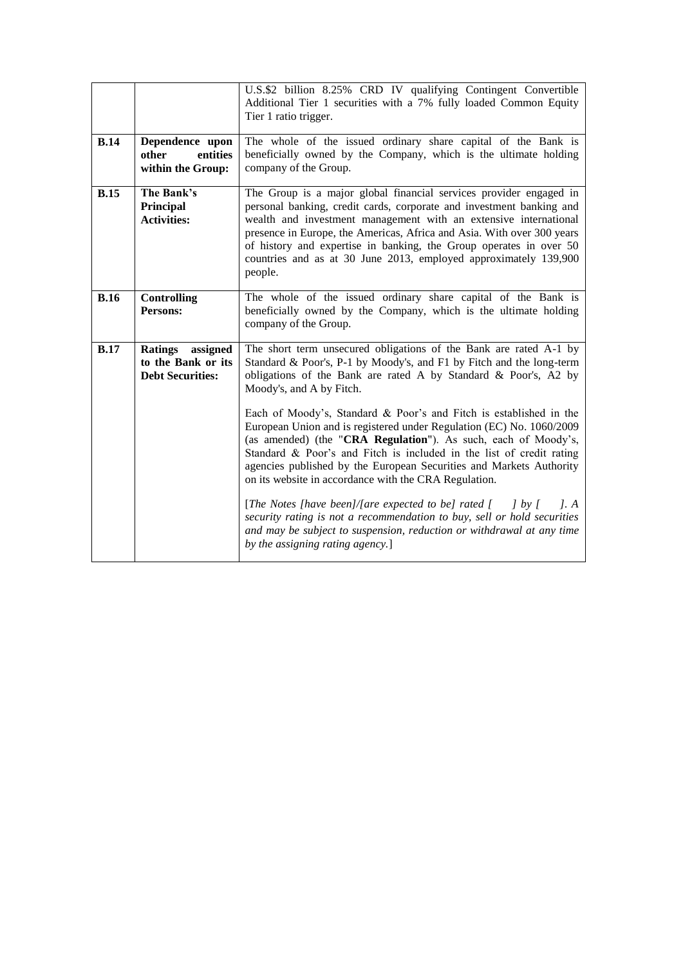|             |                                                                   | U.S.\$2 billion 8.25% CRD IV qualifying Contingent Convertible<br>Additional Tier 1 securities with a 7% fully loaded Common Equity<br>Tier 1 ratio trigger.                                                                                                                                                                                                                                                                                                                                                                                                                                                                                                                                                                                                                                                                                                                                                                                                     |
|-------------|-------------------------------------------------------------------|------------------------------------------------------------------------------------------------------------------------------------------------------------------------------------------------------------------------------------------------------------------------------------------------------------------------------------------------------------------------------------------------------------------------------------------------------------------------------------------------------------------------------------------------------------------------------------------------------------------------------------------------------------------------------------------------------------------------------------------------------------------------------------------------------------------------------------------------------------------------------------------------------------------------------------------------------------------|
| B.14        | Dependence upon<br>entities<br>other<br>within the Group:         | The whole of the issued ordinary share capital of the Bank is<br>beneficially owned by the Company, which is the ultimate holding<br>company of the Group.                                                                                                                                                                                                                                                                                                                                                                                                                                                                                                                                                                                                                                                                                                                                                                                                       |
| <b>B.15</b> | The Bank's<br>Principal<br><b>Activities:</b>                     | The Group is a major global financial services provider engaged in<br>personal banking, credit cards, corporate and investment banking and<br>wealth and investment management with an extensive international<br>presence in Europe, the Americas, Africa and Asia. With over 300 years<br>of history and expertise in banking, the Group operates in over 50<br>countries and as at 30 June 2013, employed approximately 139,900<br>people.                                                                                                                                                                                                                                                                                                                                                                                                                                                                                                                    |
| <b>B.16</b> | <b>Controlling</b><br>Persons:                                    | The whole of the issued ordinary share capital of the Bank is<br>beneficially owned by the Company, which is the ultimate holding<br>company of the Group.                                                                                                                                                                                                                                                                                                                                                                                                                                                                                                                                                                                                                                                                                                                                                                                                       |
| <b>B.17</b> | Ratings assigned<br>to the Bank or its<br><b>Debt Securities:</b> | The short term unsecured obligations of the Bank are rated A-1 by<br>Standard & Poor's, P-1 by Moody's, and F1 by Fitch and the long-term<br>obligations of the Bank are rated A by Standard & Poor's, A2 by<br>Moody's, and A by Fitch.<br>Each of Moody's, Standard & Poor's and Fitch is established in the<br>European Union and is registered under Regulation (EC) No. 1060/2009<br>(as amended) (the "CRA Regulation"). As such, each of Moody's,<br>Standard & Poor's and Fitch is included in the list of credit rating<br>agencies published by the European Securities and Markets Authority<br>on its website in accordance with the CRA Regulation.<br>[The Notes [have been]/[are expected to be] rated $\begin{bmatrix} 1 & y \end{bmatrix}$ by [<br>l. A<br>security rating is not a recommendation to buy, sell or hold securities<br>and may be subject to suspension, reduction or withdrawal at any time<br>by the assigning rating agency.] |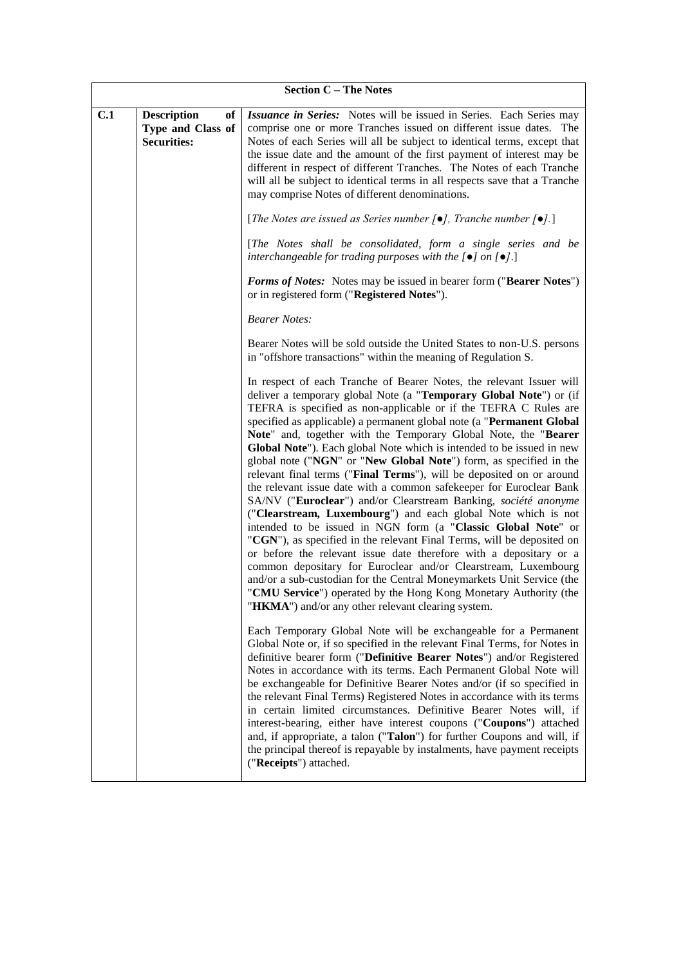|     | <b>Section C - The Notes</b>                                        |                                                                                                                                                                                                                                                                                                                                                                                                                                                                                                                                                                                                                                                                                                                                                                                                                                                                                                                                                                                                                                                                                                                                                                                                                                                                                                                                                                                                                                                                                                                                                                                                                                                                                                                                                                                    |  |  |  |
|-----|---------------------------------------------------------------------|------------------------------------------------------------------------------------------------------------------------------------------------------------------------------------------------------------------------------------------------------------------------------------------------------------------------------------------------------------------------------------------------------------------------------------------------------------------------------------------------------------------------------------------------------------------------------------------------------------------------------------------------------------------------------------------------------------------------------------------------------------------------------------------------------------------------------------------------------------------------------------------------------------------------------------------------------------------------------------------------------------------------------------------------------------------------------------------------------------------------------------------------------------------------------------------------------------------------------------------------------------------------------------------------------------------------------------------------------------------------------------------------------------------------------------------------------------------------------------------------------------------------------------------------------------------------------------------------------------------------------------------------------------------------------------------------------------------------------------------------------------------------------------|--|--|--|
| C.1 | <b>Description</b><br>of<br>Type and Class of<br><b>Securities:</b> | Issuance in Series: Notes will be issued in Series. Each Series may<br>comprise one or more Tranches issued on different issue dates. The<br>Notes of each Series will all be subject to identical terms, except that<br>the issue date and the amount of the first payment of interest may be<br>different in respect of different Tranches. The Notes of each Tranche<br>will all be subject to identical terms in all respects save that a Tranche<br>may comprise Notes of different denominations.<br>[ <i>The Notes are issued as Series number</i> $[\bullet]$ <i>, Tranche number</i> $[\bullet]$ <i>.</i> ]<br>[The Notes shall be consolidated, form a single series and be<br>interchangeable for trading purposes with the $[•]$ on $[•]$ .]<br>Forms of Notes: Notes may be issued in bearer form ("Bearer Notes")<br>or in registered form ("Registered Notes").<br><b>Bearer Notes:</b><br>Bearer Notes will be sold outside the United States to non-U.S. persons<br>in "offshore transactions" within the meaning of Regulation S.<br>In respect of each Tranche of Bearer Notes, the relevant Issuer will<br>deliver a temporary global Note (a "Temporary Global Note") or (if<br>TEFRA is specified as non-applicable or if the TEFRA C Rules are<br>specified as applicable) a permanent global note (a "Permanent Global<br>Note" and, together with the Temporary Global Note, the "Bearer<br>Global Note"). Each global Note which is intended to be issued in new<br>global note ("NGN" or "New Global Note") form, as specified in the<br>relevant final terms ("Final Terms"), will be deposited on or around<br>the relevant issue date with a common safekeeper for Euroclear Bank<br>SA/NV ("Euroclear") and/or Clearstream Banking, société anonyme |  |  |  |
|     |                                                                     | ("Clearstream, Luxembourg") and each global Note which is not<br>intended to be issued in NGN form (a "Classic Global Note" or<br>"CGN"), as specified in the relevant Final Terms, will be deposited on<br>or before the relevant issue date therefore with a depositary or a<br>common depositary for Euroclear and/or Clearstream, Luxembourg<br>and/or a sub-custodian for the Central Moneymarkets Unit Service (the<br>"CMU Service") operated by the Hong Kong Monetary Authority (the<br>"HKMA") and/or any other relevant clearing system.<br>Each Temporary Global Note will be exchangeable for a Permanent<br>Global Note or, if so specified in the relevant Final Terms, for Notes in<br>definitive bearer form ("Definitive Bearer Notes") and/or Registered<br>Notes in accordance with its terms. Each Permanent Global Note will<br>be exchangeable for Definitive Bearer Notes and/or (if so specified in<br>the relevant Final Terms) Registered Notes in accordance with its terms<br>in certain limited circumstances. Definitive Bearer Notes will, if<br>interest-bearing, either have interest coupons ("Coupons") attached<br>and, if appropriate, a talon ("Talon") for further Coupons and will, if<br>the principal thereof is repayable by instalments, have payment receipts<br>("Receipts") attached.                                                                                                                                                                                                                                                                                                                                                                                                                                              |  |  |  |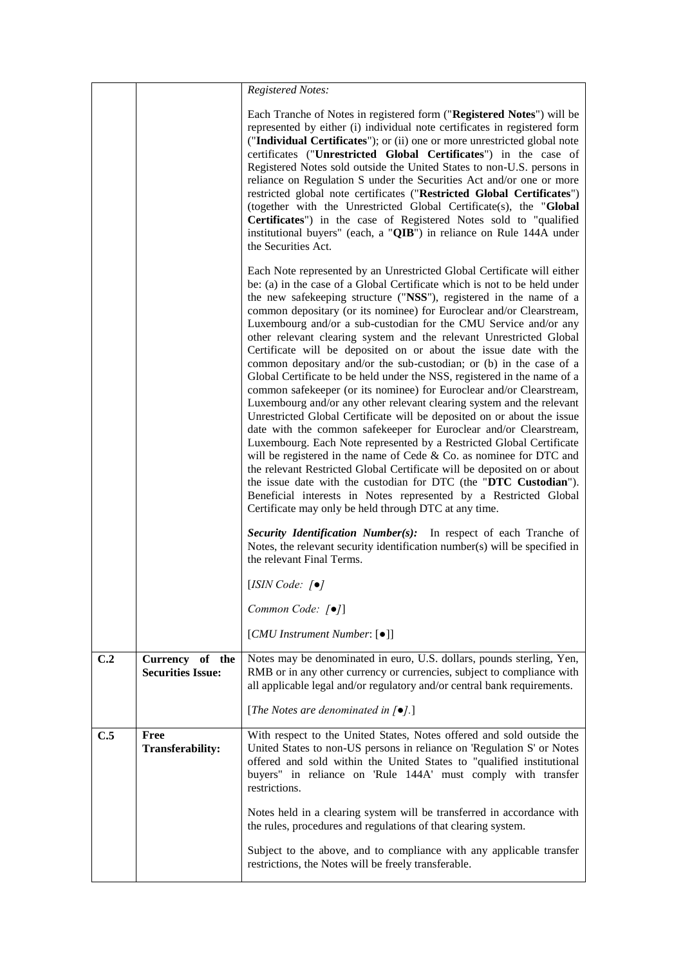|     |                                             | <b>Registered Notes:</b>                                                                                                                                                                                                                                                                                                                                                                                                                                                                                                                                                                                                                                                                                                                                                                                                                                                                                                                                                                                                                                                                                                                                                                                                                                                                                                                                                                                                                                                 |
|-----|---------------------------------------------|--------------------------------------------------------------------------------------------------------------------------------------------------------------------------------------------------------------------------------------------------------------------------------------------------------------------------------------------------------------------------------------------------------------------------------------------------------------------------------------------------------------------------------------------------------------------------------------------------------------------------------------------------------------------------------------------------------------------------------------------------------------------------------------------------------------------------------------------------------------------------------------------------------------------------------------------------------------------------------------------------------------------------------------------------------------------------------------------------------------------------------------------------------------------------------------------------------------------------------------------------------------------------------------------------------------------------------------------------------------------------------------------------------------------------------------------------------------------------|
|     |                                             | Each Tranche of Notes in registered form ("Registered Notes") will be<br>represented by either (i) individual note certificates in registered form<br>("Individual Certificates"); or (ii) one or more unrestricted global note<br>certificates ("Unrestricted Global Certificates") in the case of<br>Registered Notes sold outside the United States to non-U.S. persons in<br>reliance on Regulation S under the Securities Act and/or one or more<br>restricted global note certificates ("Restricted Global Certificates")<br>(together with the Unrestricted Global Certificate(s), the "Global<br>Certificates") in the case of Registered Notes sold to "qualified<br>institutional buyers" (each, a "QIB") in reliance on Rule 144A under<br>the Securities Act.                                                                                                                                                                                                                                                                                                                                                                                                                                                                                                                                                                                                                                                                                                |
|     |                                             | Each Note represented by an Unrestricted Global Certificate will either<br>be: (a) in the case of a Global Certificate which is not to be held under<br>the new safekeeping structure ("NSS"), registered in the name of a<br>common depositary (or its nominee) for Euroclear and/or Clearstream,<br>Luxembourg and/or a sub-custodian for the CMU Service and/or any<br>other relevant clearing system and the relevant Unrestricted Global<br>Certificate will be deposited on or about the issue date with the<br>common depositary and/or the sub-custodian; or (b) in the case of a<br>Global Certificate to be held under the NSS, registered in the name of a<br>common safekeeper (or its nominee) for Euroclear and/or Clearstream,<br>Luxembourg and/or any other relevant clearing system and the relevant<br>Unrestricted Global Certificate will be deposited on or about the issue<br>date with the common safekeeper for Euroclear and/or Clearstream,<br>Luxembourg. Each Note represented by a Restricted Global Certificate<br>will be registered in the name of Cede $&$ Co. as nominee for DTC and<br>the relevant Restricted Global Certificate will be deposited on or about<br>the issue date with the custodian for DTC (the "DTC Custodian").<br>Beneficial interests in Notes represented by a Restricted Global<br>Certificate may only be held through DTC at any time.<br>Security Identification Number(s): In respect of each Tranche of |
|     |                                             | Notes, the relevant security identification number(s) will be specified in<br>the relevant Final Terms.                                                                                                                                                                                                                                                                                                                                                                                                                                                                                                                                                                                                                                                                                                                                                                                                                                                                                                                                                                                                                                                                                                                                                                                                                                                                                                                                                                  |
|     |                                             | [ISIN Code: $\lceil \bullet \rceil$                                                                                                                                                                                                                                                                                                                                                                                                                                                                                                                                                                                                                                                                                                                                                                                                                                                                                                                                                                                                                                                                                                                                                                                                                                                                                                                                                                                                                                      |
|     |                                             | Common Code: [ $\bullet$ ]                                                                                                                                                                                                                                                                                                                                                                                                                                                                                                                                                                                                                                                                                                                                                                                                                                                                                                                                                                                                                                                                                                                                                                                                                                                                                                                                                                                                                                               |
|     |                                             | [CMU Instrument Number: [ $\bullet$ ]]                                                                                                                                                                                                                                                                                                                                                                                                                                                                                                                                                                                                                                                                                                                                                                                                                                                                                                                                                                                                                                                                                                                                                                                                                                                                                                                                                                                                                                   |
| C.2 | Currency of the<br><b>Securities Issue:</b> | Notes may be denominated in euro, U.S. dollars, pounds sterling, Yen,<br>RMB or in any other currency or currencies, subject to compliance with<br>all applicable legal and/or regulatory and/or central bank requirements.                                                                                                                                                                                                                                                                                                                                                                                                                                                                                                                                                                                                                                                                                                                                                                                                                                                                                                                                                                                                                                                                                                                                                                                                                                              |
|     |                                             | [The Notes are denominated in $[•]$ .]                                                                                                                                                                                                                                                                                                                                                                                                                                                                                                                                                                                                                                                                                                                                                                                                                                                                                                                                                                                                                                                                                                                                                                                                                                                                                                                                                                                                                                   |
| C.5 | Free<br><b>Transferability:</b>             | With respect to the United States, Notes offered and sold outside the<br>United States to non-US persons in reliance on 'Regulation S' or Notes<br>offered and sold within the United States to "qualified institutional<br>buyers" in reliance on 'Rule 144A' must comply with transfer<br>restrictions.                                                                                                                                                                                                                                                                                                                                                                                                                                                                                                                                                                                                                                                                                                                                                                                                                                                                                                                                                                                                                                                                                                                                                                |
|     |                                             | Notes held in a clearing system will be transferred in accordance with<br>the rules, procedures and regulations of that clearing system.                                                                                                                                                                                                                                                                                                                                                                                                                                                                                                                                                                                                                                                                                                                                                                                                                                                                                                                                                                                                                                                                                                                                                                                                                                                                                                                                 |
|     |                                             | Subject to the above, and to compliance with any applicable transfer<br>restrictions, the Notes will be freely transferable.                                                                                                                                                                                                                                                                                                                                                                                                                                                                                                                                                                                                                                                                                                                                                                                                                                                                                                                                                                                                                                                                                                                                                                                                                                                                                                                                             |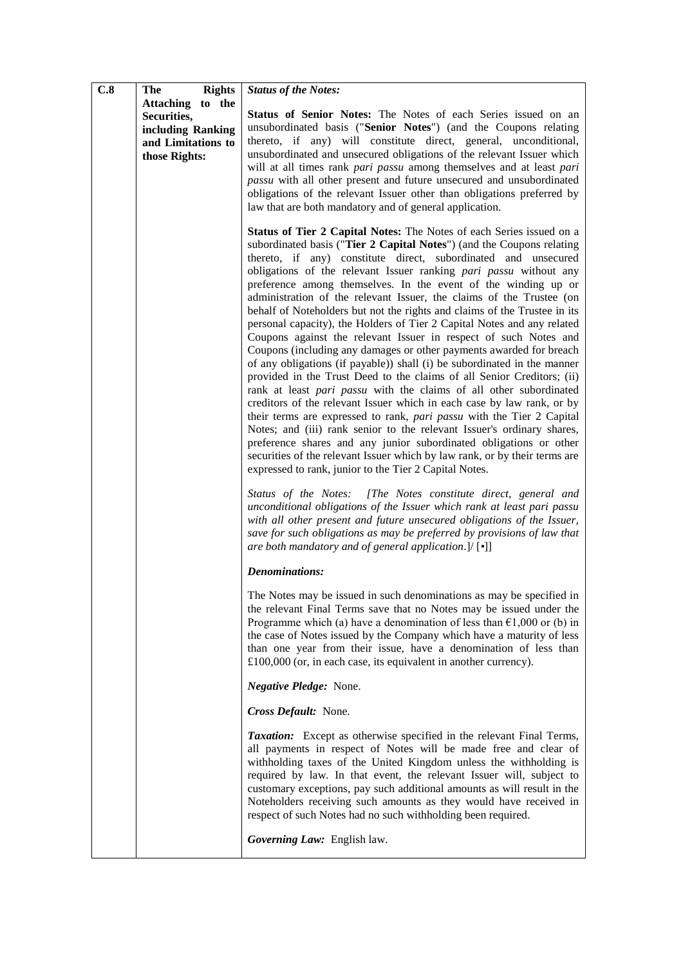| C.8 | The<br><b>Rights</b>                                                                        | <b>Status of the Notes:</b>                                                                                                                                                                                                                                                                                                                                                                                                                                                                                                                                                                                                                                                                                                                                                                                                                                                                                                                                                                                                                                                                                                                                                                                                                                                                                                                                                                                                                                                                                                                                                                                                                                                                                                                                             |
|-----|---------------------------------------------------------------------------------------------|-------------------------------------------------------------------------------------------------------------------------------------------------------------------------------------------------------------------------------------------------------------------------------------------------------------------------------------------------------------------------------------------------------------------------------------------------------------------------------------------------------------------------------------------------------------------------------------------------------------------------------------------------------------------------------------------------------------------------------------------------------------------------------------------------------------------------------------------------------------------------------------------------------------------------------------------------------------------------------------------------------------------------------------------------------------------------------------------------------------------------------------------------------------------------------------------------------------------------------------------------------------------------------------------------------------------------------------------------------------------------------------------------------------------------------------------------------------------------------------------------------------------------------------------------------------------------------------------------------------------------------------------------------------------------------------------------------------------------------------------------------------------------|
|     | Attaching to the<br>Securities,<br>including Ranking<br>and Limitations to<br>those Rights: | Status of Senior Notes: The Notes of each Series issued on an<br>unsubordinated basis ("Senior Notes") (and the Coupons relating<br>thereto, if any) will constitute direct, general, unconditional,<br>unsubordinated and unsecured obligations of the relevant Issuer which<br>will at all times rank pari passu among themselves and at least pari<br>passu with all other present and future unsecured and unsubordinated<br>obligations of the relevant Issuer other than obligations preferred by<br>law that are both mandatory and of general application.                                                                                                                                                                                                                                                                                                                                                                                                                                                                                                                                                                                                                                                                                                                                                                                                                                                                                                                                                                                                                                                                                                                                                                                                      |
|     |                                                                                             | Status of Tier 2 Capital Notes: The Notes of each Series issued on a<br>subordinated basis ("Tier 2 Capital Notes") (and the Coupons relating<br>thereto, if any) constitute direct, subordinated and unsecured<br>obligations of the relevant Issuer ranking pari passu without any<br>preference among themselves. In the event of the winding up or<br>administration of the relevant Issuer, the claims of the Trustee (on<br>behalf of Noteholders but not the rights and claims of the Trustee in its<br>personal capacity), the Holders of Tier 2 Capital Notes and any related<br>Coupons against the relevant Issuer in respect of such Notes and<br>Coupons (including any damages or other payments awarded for breach<br>of any obligations (if payable)) shall (i) be subordinated in the manner<br>provided in the Trust Deed to the claims of all Senior Creditors; (ii)<br>rank at least pari passu with the claims of all other subordinated<br>creditors of the relevant Issuer which in each case by law rank, or by<br>their terms are expressed to rank, pari passu with the Tier 2 Capital<br>Notes; and (iii) rank senior to the relevant Issuer's ordinary shares,<br>preference shares and any junior subordinated obligations or other<br>securities of the relevant Issuer which by law rank, or by their terms are<br>expressed to rank, junior to the Tier 2 Capital Notes.<br>Status of the Notes: [The Notes constitute direct, general and<br>unconditional obligations of the Issuer which rank at least pari passu<br>with all other present and future unsecured obligations of the Issuer,<br>save for such obligations as may be preferred by provisions of law that<br>are both mandatory and of general application.]/ $[\cdot]$ |
|     |                                                                                             | <b>Denominations:</b>                                                                                                                                                                                                                                                                                                                                                                                                                                                                                                                                                                                                                                                                                                                                                                                                                                                                                                                                                                                                                                                                                                                                                                                                                                                                                                                                                                                                                                                                                                                                                                                                                                                                                                                                                   |
|     |                                                                                             | The Notes may be issued in such denominations as may be specified in<br>the relevant Final Terms save that no Notes may be issued under the<br>Programme which (a) have a denomination of less than $\epsilon$ 1,000 or (b) in<br>the case of Notes issued by the Company which have a maturity of less<br>than one year from their issue, have a denomination of less than<br>$£100,000$ (or, in each case, its equivalent in another currency).                                                                                                                                                                                                                                                                                                                                                                                                                                                                                                                                                                                                                                                                                                                                                                                                                                                                                                                                                                                                                                                                                                                                                                                                                                                                                                                       |
|     |                                                                                             | Negative Pledge: None.                                                                                                                                                                                                                                                                                                                                                                                                                                                                                                                                                                                                                                                                                                                                                                                                                                                                                                                                                                                                                                                                                                                                                                                                                                                                                                                                                                                                                                                                                                                                                                                                                                                                                                                                                  |
|     |                                                                                             | Cross Default: None.                                                                                                                                                                                                                                                                                                                                                                                                                                                                                                                                                                                                                                                                                                                                                                                                                                                                                                                                                                                                                                                                                                                                                                                                                                                                                                                                                                                                                                                                                                                                                                                                                                                                                                                                                    |
|     |                                                                                             | <b>Taxation:</b> Except as otherwise specified in the relevant Final Terms,<br>all payments in respect of Notes will be made free and clear of<br>withholding taxes of the United Kingdom unless the withholding is<br>required by law. In that event, the relevant Issuer will, subject to<br>customary exceptions, pay such additional amounts as will result in the<br>Noteholders receiving such amounts as they would have received in<br>respect of such Notes had no such withholding been required.                                                                                                                                                                                                                                                                                                                                                                                                                                                                                                                                                                                                                                                                                                                                                                                                                                                                                                                                                                                                                                                                                                                                                                                                                                                             |
|     |                                                                                             | Governing Law: English law.                                                                                                                                                                                                                                                                                                                                                                                                                                                                                                                                                                                                                                                                                                                                                                                                                                                                                                                                                                                                                                                                                                                                                                                                                                                                                                                                                                                                                                                                                                                                                                                                                                                                                                                                             |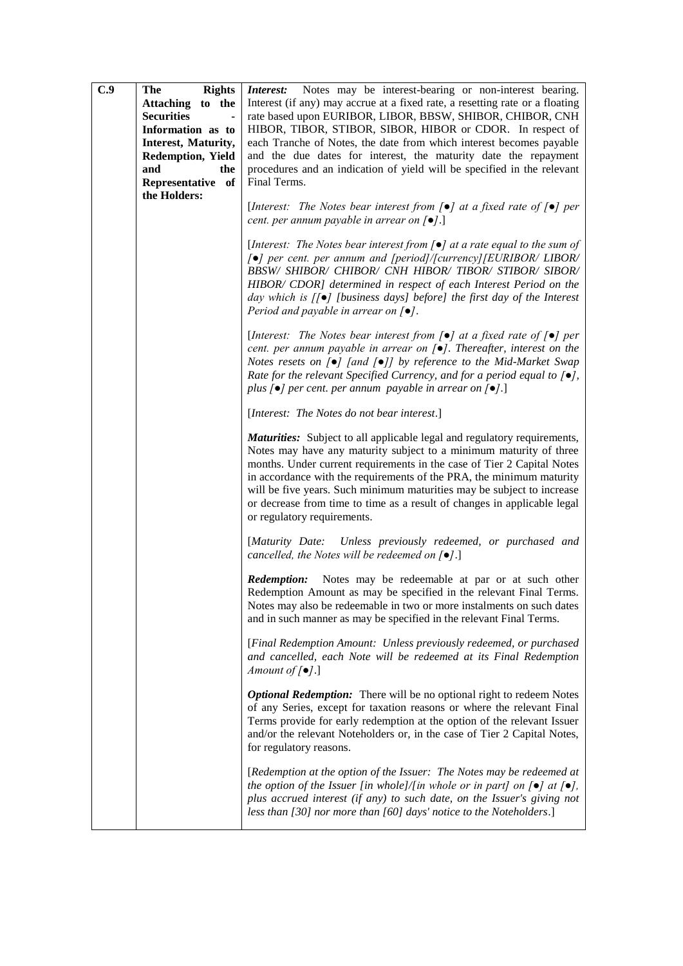| C.9 | <b>Rights</b><br><b>The</b>         | Interest: Notes may be interest-bearing or non-interest bearing.                                                                                                                                                                                                                                                                                                                                                                                                                             |
|-----|-------------------------------------|----------------------------------------------------------------------------------------------------------------------------------------------------------------------------------------------------------------------------------------------------------------------------------------------------------------------------------------------------------------------------------------------------------------------------------------------------------------------------------------------|
|     | Attaching to the                    | Interest (if any) may accrue at a fixed rate, a resetting rate or a floating                                                                                                                                                                                                                                                                                                                                                                                                                 |
|     | <b>Securities</b><br>$\blacksquare$ | rate based upon EURIBOR, LIBOR, BBSW, SHIBOR, CHIBOR, CNH                                                                                                                                                                                                                                                                                                                                                                                                                                    |
|     | Information as to                   | HIBOR, TIBOR, STIBOR, SIBOR, HIBOR or CDOR. In respect of                                                                                                                                                                                                                                                                                                                                                                                                                                    |
|     | Interest, Maturity,                 | each Tranche of Notes, the date from which interest becomes payable                                                                                                                                                                                                                                                                                                                                                                                                                          |
|     | <b>Redemption, Yield</b>            | and the due dates for interest, the maturity date the repayment                                                                                                                                                                                                                                                                                                                                                                                                                              |
|     | and<br>the                          | procedures and an indication of yield will be specified in the relevant                                                                                                                                                                                                                                                                                                                                                                                                                      |
|     | Representative of                   | Final Terms.                                                                                                                                                                                                                                                                                                                                                                                                                                                                                 |
|     | the Holders:                        |                                                                                                                                                                                                                                                                                                                                                                                                                                                                                              |
|     |                                     | [Interest: The Notes bear interest from $[\bullet]$ at a fixed rate of $[\bullet]$ per                                                                                                                                                                                                                                                                                                                                                                                                       |
|     |                                     | cent. per annum payable in arrear on $\lceil \bullet \rceil$ .]                                                                                                                                                                                                                                                                                                                                                                                                                              |
|     |                                     |                                                                                                                                                                                                                                                                                                                                                                                                                                                                                              |
|     |                                     | [Interest: The Notes bear interest from $\lceil \bullet \rceil$ at a rate equal to the sum of<br>[•] per cent. per annum and [period]/[currency][EURIBOR/ LIBOR/<br>BBSW/ SHIBOR/ CHIBOR/ CNH HIBOR/ TIBOR/ STIBOR/ SIBOR/<br>HIBOR/ CDOR] determined in respect of each Interest Period on the<br>day which is $[[\bullet]]$ [business days] before] the first day of the Interest                                                                                                          |
|     |                                     | Period and payable in arrear on $[•]$ .                                                                                                                                                                                                                                                                                                                                                                                                                                                      |
|     |                                     |                                                                                                                                                                                                                                                                                                                                                                                                                                                                                              |
|     |                                     | [Interest: The Notes bear interest from $[\bullet]$ at a fixed rate of $[\bullet]$ per<br>cent. per annum payable in arrear on $[\bullet]$ . Thereafter, interest on the<br>Notes resets on $\lceil \bullet \rceil$ [and $\lceil \bullet \rceil$ ] by reference to the Mid-Market Swap<br>Rate for the relevant Specified Currency, and for a period equal to $[\bullet]$ ,<br>plus $[\bullet]$ per cent. per annum payable in arrear on $[\bullet]$ .]                                      |
|     |                                     | [Interest: The Notes do not bear interest.]                                                                                                                                                                                                                                                                                                                                                                                                                                                  |
|     |                                     | <b>Maturities:</b> Subject to all applicable legal and regulatory requirements,<br>Notes may have any maturity subject to a minimum maturity of three<br>months. Under current requirements in the case of Tier 2 Capital Notes<br>in accordance with the requirements of the PRA, the minimum maturity<br>will be five years. Such minimum maturities may be subject to increase<br>or decrease from time to time as a result of changes in applicable legal<br>or regulatory requirements. |
|     |                                     | [Maturity Date: Unless previously redeemed, or purchased and<br>cancelled, the Notes will be redeemed on $[•]$ .]                                                                                                                                                                                                                                                                                                                                                                            |
|     |                                     | <b>Redemption:</b><br>Notes may be redeemable at par or at such other<br>Redemption Amount as may be specified in the relevant Final Terms.<br>Notes may also be redeemable in two or more instalments on such dates<br>and in such manner as may be specified in the relevant Final Terms.                                                                                                                                                                                                  |
|     |                                     | [Final Redemption Amount: Unless previously redeemed, or purchased<br>and cancelled, each Note will be redeemed at its Final Redemption<br>Amount of $[\bullet]$ .]                                                                                                                                                                                                                                                                                                                          |
|     |                                     | <b>Optional Redemption:</b> There will be no optional right to redeem Notes<br>of any Series, except for taxation reasons or where the relevant Final<br>Terms provide for early redemption at the option of the relevant Issuer<br>and/or the relevant Noteholders or, in the case of Tier 2 Capital Notes,<br>for regulatory reasons.                                                                                                                                                      |
|     |                                     | [Redemption at the option of the Issuer: The Notes may be redeemed at<br>the option of the Issuer [in whole]/[in whole or in part] on $[\bullet]$ at $[\bullet]$ ,<br>plus accrued interest (if any) to such date, on the Issuer's giving not<br>less than [30] nor more than [60] days' notice to the Noteholders.]                                                                                                                                                                         |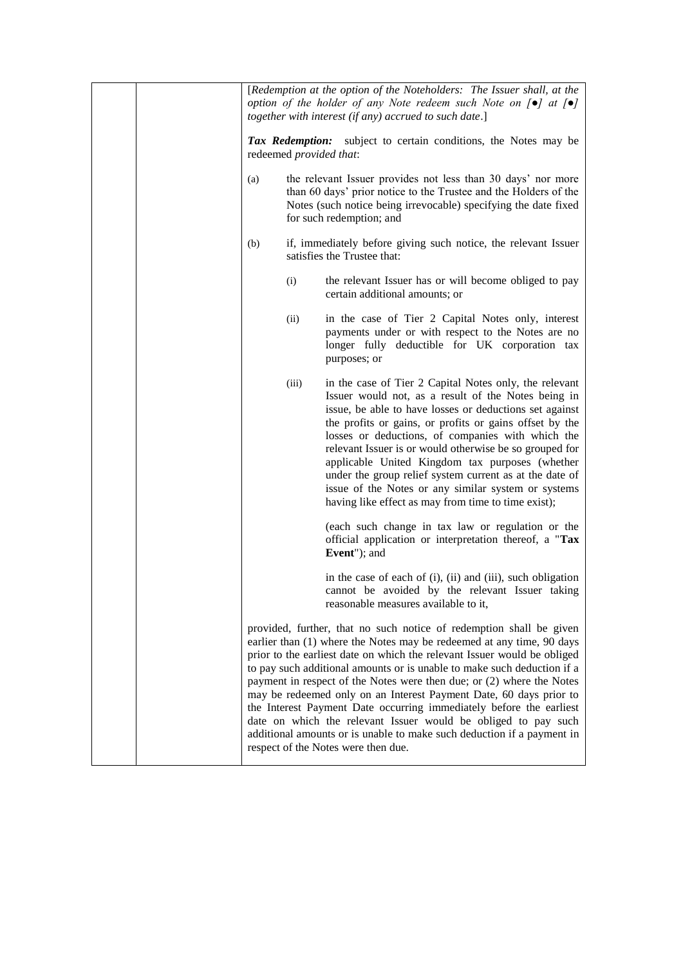|                         | [Redemption at the option of the Noteholders: The Issuer shall, at the<br>option of the holder of any Note redeem such Note on $[\bullet]$ at $[\bullet]$<br>together with interest (if any) accrued to such date.]                                                                                                                                                                                                                                                                                                                                                                                                                                                                                          |
|-------------------------|--------------------------------------------------------------------------------------------------------------------------------------------------------------------------------------------------------------------------------------------------------------------------------------------------------------------------------------------------------------------------------------------------------------------------------------------------------------------------------------------------------------------------------------------------------------------------------------------------------------------------------------------------------------------------------------------------------------|
| redeemed provided that: | Tax Redemption: subject to certain conditions, the Notes may be                                                                                                                                                                                                                                                                                                                                                                                                                                                                                                                                                                                                                                              |
| (a)                     | the relevant Issuer provides not less than 30 days' nor more<br>than 60 days' prior notice to the Trustee and the Holders of the<br>Notes (such notice being irrevocable) specifying the date fixed<br>for such redemption; and                                                                                                                                                                                                                                                                                                                                                                                                                                                                              |
| (b)                     | if, immediately before giving such notice, the relevant Issuer<br>satisfies the Trustee that:                                                                                                                                                                                                                                                                                                                                                                                                                                                                                                                                                                                                                |
| (i)                     | the relevant Issuer has or will become obliged to pay<br>certain additional amounts; or                                                                                                                                                                                                                                                                                                                                                                                                                                                                                                                                                                                                                      |
| (ii)                    | in the case of Tier 2 Capital Notes only, interest<br>payments under or with respect to the Notes are no<br>longer fully deductible for UK corporation tax<br>purposes; or                                                                                                                                                                                                                                                                                                                                                                                                                                                                                                                                   |
| (iii)                   | in the case of Tier 2 Capital Notes only, the relevant<br>Issuer would not, as a result of the Notes being in<br>issue, be able to have losses or deductions set against<br>the profits or gains, or profits or gains offset by the<br>losses or deductions, of companies with which the<br>relevant Issuer is or would otherwise be so grouped for<br>applicable United Kingdom tax purposes (whether<br>under the group relief system current as at the date of<br>issue of the Notes or any similar system or systems<br>having like effect as may from time to time exist);                                                                                                                              |
|                         | (each such change in tax law or regulation or the<br>official application or interpretation thereof, a "Tax<br>Event"); and                                                                                                                                                                                                                                                                                                                                                                                                                                                                                                                                                                                  |
|                         | in the case of each of (i), (ii) and (iii), such obligation<br>cannot be avoided by the relevant Issuer taking<br>reasonable measures available to it,                                                                                                                                                                                                                                                                                                                                                                                                                                                                                                                                                       |
|                         | provided, further, that no such notice of redemption shall be given<br>earlier than (1) where the Notes may be redeemed at any time, 90 days<br>prior to the earliest date on which the relevant Issuer would be obliged<br>to pay such additional amounts or is unable to make such deduction if a<br>payment in respect of the Notes were then due; or (2) where the Notes<br>may be redeemed only on an Interest Payment Date, 60 days prior to<br>the Interest Payment Date occurring immediately before the earliest<br>date on which the relevant Issuer would be obliged to pay such<br>additional amounts or is unable to make such deduction if a payment in<br>respect of the Notes were then due. |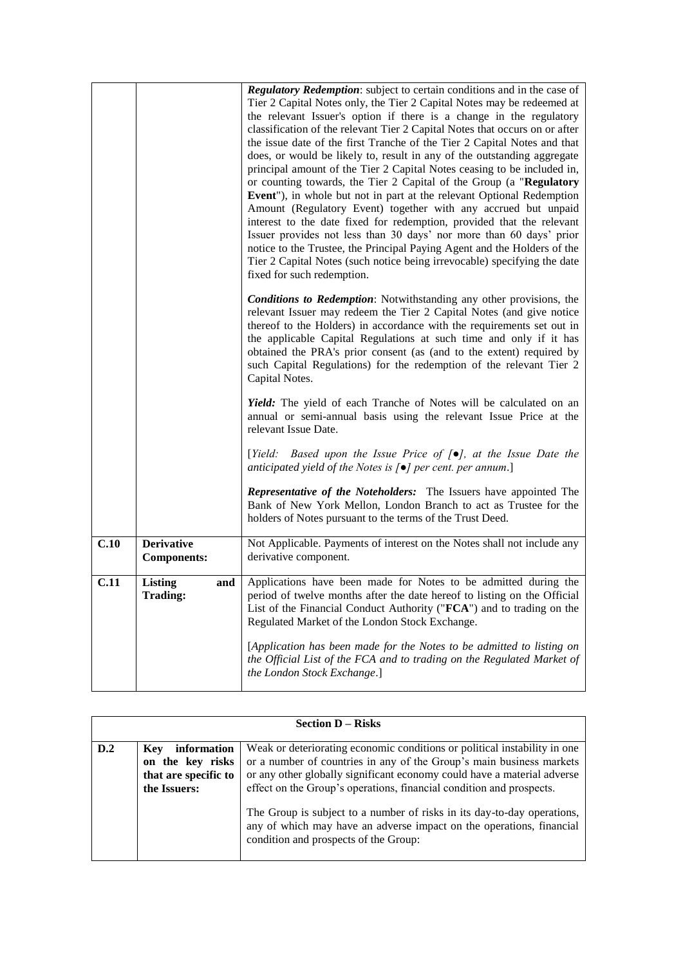|      |                                         | <b>Regulatory Redemption:</b> subject to certain conditions and in the case of<br>Tier 2 Capital Notes only, the Tier 2 Capital Notes may be redeemed at<br>the relevant Issuer's option if there is a change in the regulatory<br>classification of the relevant Tier 2 Capital Notes that occurs on or after<br>the issue date of the first Tranche of the Tier 2 Capital Notes and that<br>does, or would be likely to, result in any of the outstanding aggregate<br>principal amount of the Tier 2 Capital Notes ceasing to be included in,<br>or counting towards, the Tier 2 Capital of the Group (a "Regulatory<br>Event"), in whole but not in part at the relevant Optional Redemption<br>Amount (Regulatory Event) together with any accrued but unpaid<br>interest to the date fixed for redemption, provided that the relevant<br>Issuer provides not less than 30 days' nor more than 60 days' prior<br>notice to the Trustee, the Principal Paying Agent and the Holders of the<br>Tier 2 Capital Notes (such notice being irrevocable) specifying the date<br>fixed for such redemption. |
|------|-----------------------------------------|----------------------------------------------------------------------------------------------------------------------------------------------------------------------------------------------------------------------------------------------------------------------------------------------------------------------------------------------------------------------------------------------------------------------------------------------------------------------------------------------------------------------------------------------------------------------------------------------------------------------------------------------------------------------------------------------------------------------------------------------------------------------------------------------------------------------------------------------------------------------------------------------------------------------------------------------------------------------------------------------------------------------------------------------------------------------------------------------------------|
|      |                                         | <b>Conditions to Redemption:</b> Notwithstanding any other provisions, the<br>relevant Issuer may redeem the Tier 2 Capital Notes (and give notice<br>thereof to the Holders) in accordance with the requirements set out in<br>the applicable Capital Regulations at such time and only if it has<br>obtained the PRA's prior consent (as (and to the extent) required by<br>such Capital Regulations) for the redemption of the relevant Tier 2<br>Capital Notes.                                                                                                                                                                                                                                                                                                                                                                                                                                                                                                                                                                                                                                      |
|      |                                         | Yield: The yield of each Tranche of Notes will be calculated on an<br>annual or semi-annual basis using the relevant Issue Price at the<br>relevant Issue Date.                                                                                                                                                                                                                                                                                                                                                                                                                                                                                                                                                                                                                                                                                                                                                                                                                                                                                                                                          |
|      |                                         | [Yield: Based upon the Issue Price of $[\bullet]$ , at the Issue Date the<br>anticipated yield of the Notes is $\lceil \bullet \rceil$ per cent. per annum.]                                                                                                                                                                                                                                                                                                                                                                                                                                                                                                                                                                                                                                                                                                                                                                                                                                                                                                                                             |
|      |                                         | <b>Representative of the Noteholders:</b> The Issuers have appointed The<br>Bank of New York Mellon, London Branch to act as Trustee for the<br>holders of Notes pursuant to the terms of the Trust Deed.                                                                                                                                                                                                                                                                                                                                                                                                                                                                                                                                                                                                                                                                                                                                                                                                                                                                                                |
| C.10 | <b>Derivative</b><br><b>Components:</b> | Not Applicable. Payments of interest on the Notes shall not include any<br>derivative component.                                                                                                                                                                                                                                                                                                                                                                                                                                                                                                                                                                                                                                                                                                                                                                                                                                                                                                                                                                                                         |
| C.11 | Listing<br>and<br><b>Trading:</b>       | Applications have been made for Notes to be admitted during the<br>period of twelve months after the date hereof to listing on the Official<br>List of the Financial Conduct Authority ("FCA") and to trading on the<br>Regulated Market of the London Stock Exchange.                                                                                                                                                                                                                                                                                                                                                                                                                                                                                                                                                                                                                                                                                                                                                                                                                                   |
|      |                                         | [Application has been made for the Notes to be admitted to listing on<br>the Official List of the FCA and to trading on the Regulated Market of<br>the London Stock Exchange.]                                                                                                                                                                                                                                                                                                                                                                                                                                                                                                                                                                                                                                                                                                                                                                                                                                                                                                                           |

| <b>Section D – Risks</b> |                                                                                       |                                                                                                                                                                                                                                                                                                                                                                                                                                                                                                  |
|--------------------------|---------------------------------------------------------------------------------------|--------------------------------------------------------------------------------------------------------------------------------------------------------------------------------------------------------------------------------------------------------------------------------------------------------------------------------------------------------------------------------------------------------------------------------------------------------------------------------------------------|
| D.2                      | information<br><b>Key</b><br>on the key risks<br>that are specific to<br>the Issuers: | Weak or deteriorating economic conditions or political instability in one<br>or a number of countries in any of the Group's main business markets<br>or any other globally significant economy could have a material adverse<br>effect on the Group's operations, financial condition and prospects.<br>The Group is subject to a number of risks in its day-to-day operations,<br>any of which may have an adverse impact on the operations, financial<br>condition and prospects of the Group: |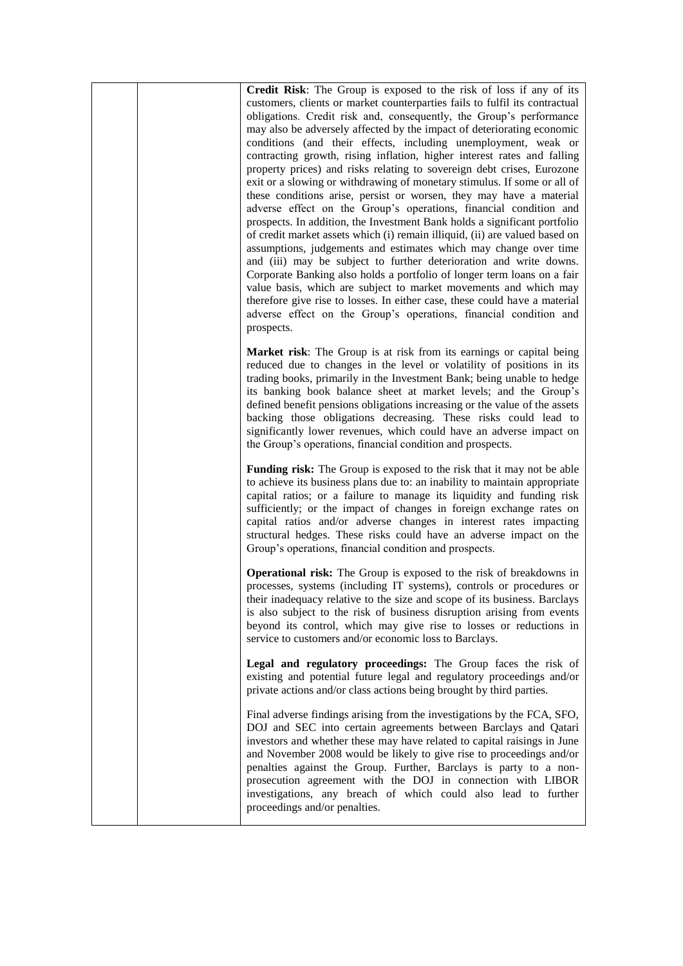|  | Credit Risk: The Group is exposed to the risk of loss if any of its<br>customers, clients or market counterparties fails to fulfil its contractual<br>obligations. Credit risk and, consequently, the Group's performance<br>may also be adversely affected by the impact of deteriorating economic<br>conditions (and their effects, including unemployment, weak or<br>contracting growth, rising inflation, higher interest rates and falling<br>property prices) and risks relating to sovereign debt crises, Eurozone<br>exit or a slowing or withdrawing of monetary stimulus. If some or all of<br>these conditions arise, persist or worsen, they may have a material<br>adverse effect on the Group's operations, financial condition and<br>prospects. In addition, the Investment Bank holds a significant portfolio<br>of credit market assets which (i) remain illiquid, (ii) are valued based on<br>assumptions, judgements and estimates which may change over time<br>and (iii) may be subject to further deterioration and write downs.<br>Corporate Banking also holds a portfolio of longer term loans on a fair<br>value basis, which are subject to market movements and which may<br>therefore give rise to losses. In either case, these could have a material<br>adverse effect on the Group's operations, financial condition and<br>prospects. |
|--|--------------------------------------------------------------------------------------------------------------------------------------------------------------------------------------------------------------------------------------------------------------------------------------------------------------------------------------------------------------------------------------------------------------------------------------------------------------------------------------------------------------------------------------------------------------------------------------------------------------------------------------------------------------------------------------------------------------------------------------------------------------------------------------------------------------------------------------------------------------------------------------------------------------------------------------------------------------------------------------------------------------------------------------------------------------------------------------------------------------------------------------------------------------------------------------------------------------------------------------------------------------------------------------------------------------------------------------------------------------------------|
|  | Market risk: The Group is at risk from its earnings or capital being<br>reduced due to changes in the level or volatility of positions in its<br>trading books, primarily in the Investment Bank; being unable to hedge<br>its banking book balance sheet at market levels; and the Group's<br>defined benefit pensions obligations increasing or the value of the assets<br>backing those obligations decreasing. These risks could lead to<br>significantly lower revenues, which could have an adverse impact on<br>the Group's operations, financial condition and prospects.                                                                                                                                                                                                                                                                                                                                                                                                                                                                                                                                                                                                                                                                                                                                                                                        |
|  | Funding risk: The Group is exposed to the risk that it may not be able<br>to achieve its business plans due to: an inability to maintain appropriate<br>capital ratios; or a failure to manage its liquidity and funding risk<br>sufficiently; or the impact of changes in foreign exchange rates on<br>capital ratios and/or adverse changes in interest rates impacting<br>structural hedges. These risks could have an adverse impact on the<br>Group's operations, financial condition and prospects.                                                                                                                                                                                                                                                                                                                                                                                                                                                                                                                                                                                                                                                                                                                                                                                                                                                                |
|  | <b>Operational risk:</b> The Group is exposed to the risk of breakdowns in<br>processes, systems (including IT systems), controls or procedures or<br>their inadequacy relative to the size and scope of its business. Barclays<br>is also subject to the risk of business disruption arising from events<br>beyond its control, which may give rise to losses or reductions in<br>service to customers and/or economic loss to Barclays.                                                                                                                                                                                                                                                                                                                                                                                                                                                                                                                                                                                                                                                                                                                                                                                                                                                                                                                                |
|  | Legal and regulatory proceedings: The Group faces the risk of<br>existing and potential future legal and regulatory proceedings and/or<br>private actions and/or class actions being brought by third parties.                                                                                                                                                                                                                                                                                                                                                                                                                                                                                                                                                                                                                                                                                                                                                                                                                                                                                                                                                                                                                                                                                                                                                           |
|  | Final adverse findings arising from the investigations by the FCA, SFO,<br>DOJ and SEC into certain agreements between Barclays and Qatari<br>investors and whether these may have related to capital raisings in June<br>and November 2008 would be likely to give rise to proceedings and/or<br>penalties against the Group. Further, Barclays is party to a non-<br>prosecution agreement with the DOJ in connection with LIBOR<br>investigations, any breach of which could also lead to further<br>proceedings and/or penalties.                                                                                                                                                                                                                                                                                                                                                                                                                                                                                                                                                                                                                                                                                                                                                                                                                                    |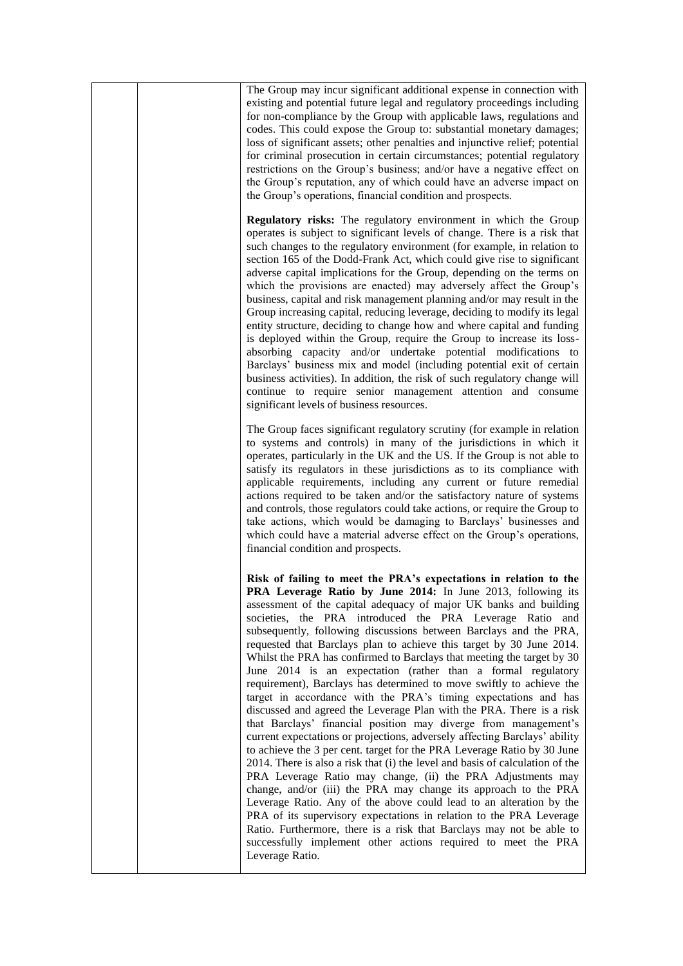| The Group may incur significant additional expense in connection with<br>existing and potential future legal and regulatory proceedings including<br>for non-compliance by the Group with applicable laws, regulations and<br>codes. This could expose the Group to: substantial monetary damages;<br>loss of significant assets; other penalties and injunctive relief; potential<br>for criminal prosecution in certain circumstances; potential regulatory<br>restrictions on the Group's business; and/or have a negative effect on<br>the Group's reputation, any of which could have an adverse impact on<br>the Group's operations, financial condition and prospects.                                                                                                                                                                                                                                                                                                                                                                                                                                                                                                                                                                                                                                                                                                                                                                                                                                                                |
|----------------------------------------------------------------------------------------------------------------------------------------------------------------------------------------------------------------------------------------------------------------------------------------------------------------------------------------------------------------------------------------------------------------------------------------------------------------------------------------------------------------------------------------------------------------------------------------------------------------------------------------------------------------------------------------------------------------------------------------------------------------------------------------------------------------------------------------------------------------------------------------------------------------------------------------------------------------------------------------------------------------------------------------------------------------------------------------------------------------------------------------------------------------------------------------------------------------------------------------------------------------------------------------------------------------------------------------------------------------------------------------------------------------------------------------------------------------------------------------------------------------------------------------------|
| Regulatory risks: The regulatory environment in which the Group<br>operates is subject to significant levels of change. There is a risk that<br>such changes to the regulatory environment (for example, in relation to<br>section 165 of the Dodd-Frank Act, which could give rise to significant<br>adverse capital implications for the Group, depending on the terms on<br>which the provisions are enacted) may adversely affect the Group's<br>business, capital and risk management planning and/or may result in the<br>Group increasing capital, reducing leverage, deciding to modify its legal<br>entity structure, deciding to change how and where capital and funding<br>is deployed within the Group, require the Group to increase its loss-<br>absorbing capacity and/or undertake potential modifications to<br>Barclays' business mix and model (including potential exit of certain<br>business activities). In addition, the risk of such regulatory change will<br>continue to require senior management attention and consume<br>significant levels of business resources.                                                                                                                                                                                                                                                                                                                                                                                                                                            |
| The Group faces significant regulatory scrutiny (for example in relation<br>to systems and controls) in many of the jurisdictions in which it<br>operates, particularly in the UK and the US. If the Group is not able to<br>satisfy its regulators in these jurisdictions as to its compliance with<br>applicable requirements, including any current or future remedial<br>actions required to be taken and/or the satisfactory nature of systems<br>and controls, those regulators could take actions, or require the Group to<br>take actions, which would be damaging to Barclays' businesses and<br>which could have a material adverse effect on the Group's operations,<br>financial condition and prospects.                                                                                                                                                                                                                                                                                                                                                                                                                                                                                                                                                                                                                                                                                                                                                                                                                        |
| Risk of failing to meet the PRA's expectations in relation to the<br><b>PRA Leverage Ratio by June 2014:</b> In June 2013, following its<br>assessment of the capital adequacy of major UK banks and building<br>societies, the PRA introduced the PRA Leverage Ratio and<br>subsequently, following discussions between Barclays and the PRA,<br>requested that Barclays plan to achieve this target by 30 June 2014.<br>Whilst the PRA has confirmed to Barclays that meeting the target by 30<br>June 2014 is an expectation (rather than a formal regulatory<br>requirement), Barclays has determined to move swiftly to achieve the<br>target in accordance with the PRA's timing expectations and has<br>discussed and agreed the Leverage Plan with the PRA. There is a risk<br>that Barclays' financial position may diverge from management's<br>current expectations or projections, adversely affecting Barclays' ability<br>to achieve the 3 per cent. target for the PRA Leverage Ratio by 30 June<br>2014. There is also a risk that (i) the level and basis of calculation of the<br>PRA Leverage Ratio may change, (ii) the PRA Adjustments may<br>change, and/or (iii) the PRA may change its approach to the PRA<br>Leverage Ratio. Any of the above could lead to an alteration by the<br>PRA of its supervisory expectations in relation to the PRA Leverage<br>Ratio. Furthermore, there is a risk that Barclays may not be able to<br>successfully implement other actions required to meet the PRA<br>Leverage Ratio. |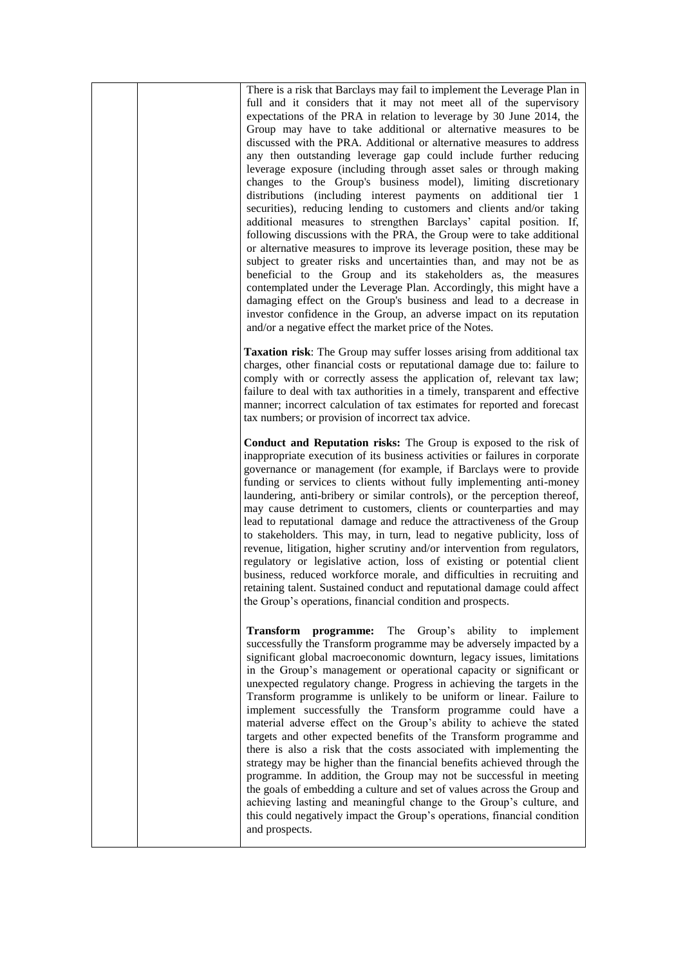|  | There is a risk that Barclays may fail to implement the Leverage Plan in<br>full and it considers that it may not meet all of the supervisory<br>expectations of the PRA in relation to leverage by 30 June 2014, the<br>Group may have to take additional or alternative measures to be<br>discussed with the PRA. Additional or alternative measures to address<br>any then outstanding leverage gap could include further reducing<br>leverage exposure (including through asset sales or through making<br>changes to the Group's business model), limiting discretionary<br>distributions (including interest payments on additional tier 1<br>securities), reducing lending to customers and clients and/or taking<br>additional measures to strengthen Barclays' capital position. If,<br>following discussions with the PRA, the Group were to take additional<br>or alternative measures to improve its leverage position, these may be<br>subject to greater risks and uncertainties than, and may not be as<br>beneficial to the Group and its stakeholders as, the measures<br>contemplated under the Leverage Plan. Accordingly, this might have a<br>damaging effect on the Group's business and lead to a decrease in<br>investor confidence in the Group, an adverse impact on its reputation<br>and/or a negative effect the market price of the Notes. |
|--|--------------------------------------------------------------------------------------------------------------------------------------------------------------------------------------------------------------------------------------------------------------------------------------------------------------------------------------------------------------------------------------------------------------------------------------------------------------------------------------------------------------------------------------------------------------------------------------------------------------------------------------------------------------------------------------------------------------------------------------------------------------------------------------------------------------------------------------------------------------------------------------------------------------------------------------------------------------------------------------------------------------------------------------------------------------------------------------------------------------------------------------------------------------------------------------------------------------------------------------------------------------------------------------------------------------------------------------------------------------------------|
|  | Taxation risk: The Group may suffer losses arising from additional tax<br>charges, other financial costs or reputational damage due to: failure to<br>comply with or correctly assess the application of, relevant tax law;<br>failure to deal with tax authorities in a timely, transparent and effective<br>manner; incorrect calculation of tax estimates for reported and forecast<br>tax numbers; or provision of incorrect tax advice.                                                                                                                                                                                                                                                                                                                                                                                                                                                                                                                                                                                                                                                                                                                                                                                                                                                                                                                             |
|  | Conduct and Reputation risks: The Group is exposed to the risk of<br>inappropriate execution of its business activities or failures in corporate<br>governance or management (for example, if Barclays were to provide<br>funding or services to clients without fully implementing anti-money<br>laundering, anti-bribery or similar controls), or the perception thereof,<br>may cause detriment to customers, clients or counterparties and may<br>lead to reputational damage and reduce the attractiveness of the Group<br>to stakeholders. This may, in turn, lead to negative publicity, loss of<br>revenue, litigation, higher scrutiny and/or intervention from regulators,<br>regulatory or legislative action, loss of existing or potential client<br>business, reduced workforce morale, and difficulties in recruiting and<br>retaining talent. Sustained conduct and reputational damage could affect<br>the Group's operations, financial condition and prospects.                                                                                                                                                                                                                                                                                                                                                                                       |
|  | Transform programme:<br>The Group's ability<br>to<br>implement<br>successfully the Transform programme may be adversely impacted by a<br>significant global macroeconomic downturn, legacy issues, limitations<br>in the Group's management or operational capacity or significant or<br>unexpected regulatory change. Progress in achieving the targets in the<br>Transform programme is unlikely to be uniform or linear. Failure to<br>implement successfully the Transform programme could have a<br>material adverse effect on the Group's ability to achieve the stated<br>targets and other expected benefits of the Transform programme and<br>there is also a risk that the costs associated with implementing the<br>strategy may be higher than the financial benefits achieved through the<br>programme. In addition, the Group may not be successful in meeting<br>the goals of embedding a culture and set of values across the Group and<br>achieving lasting and meaningful change to the Group's culture, and<br>this could negatively impact the Group's operations, financial condition<br>and prospects.                                                                                                                                                                                                                                             |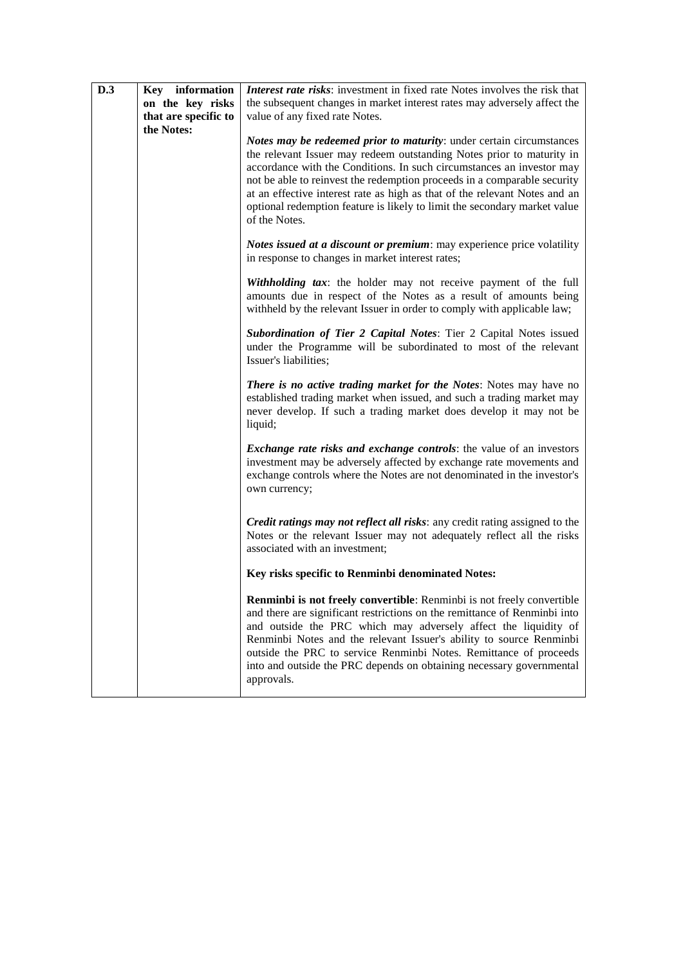| D.3 | Key information      | Interest rate risks: investment in fixed rate Notes involves the risk that                                                                                                                                                                                                                                                                                                                                                                                                     |
|-----|----------------------|--------------------------------------------------------------------------------------------------------------------------------------------------------------------------------------------------------------------------------------------------------------------------------------------------------------------------------------------------------------------------------------------------------------------------------------------------------------------------------|
|     | on the key risks     | the subsequent changes in market interest rates may adversely affect the                                                                                                                                                                                                                                                                                                                                                                                                       |
|     | that are specific to | value of any fixed rate Notes.                                                                                                                                                                                                                                                                                                                                                                                                                                                 |
|     | the Notes:           | Notes may be redeemed prior to maturity: under certain circumstances<br>the relevant Issuer may redeem outstanding Notes prior to maturity in<br>accordance with the Conditions. In such circumstances an investor may<br>not be able to reinvest the redemption proceeds in a comparable security<br>at an effective interest rate as high as that of the relevant Notes and an<br>optional redemption feature is likely to limit the secondary market value<br>of the Notes. |
|     |                      | Notes issued at a discount or premium: may experience price volatility<br>in response to changes in market interest rates;                                                                                                                                                                                                                                                                                                                                                     |
|     |                      | <b>Withholding tax:</b> the holder may not receive payment of the full<br>amounts due in respect of the Notes as a result of amounts being<br>withheld by the relevant Issuer in order to comply with applicable law;                                                                                                                                                                                                                                                          |
|     |                      | Subordination of Tier 2 Capital Notes: Tier 2 Capital Notes issued<br>under the Programme will be subordinated to most of the relevant<br>Issuer's liabilities;                                                                                                                                                                                                                                                                                                                |
|     |                      | There is no active trading market for the Notes: Notes may have no<br>established trading market when issued, and such a trading market may<br>never develop. If such a trading market does develop it may not be<br>liquid;                                                                                                                                                                                                                                                   |
|     |                      | <i>Exchange rate risks and exchange controls: the value of an investors</i><br>investment may be adversely affected by exchange rate movements and<br>exchange controls where the Notes are not denominated in the investor's<br>own currency;                                                                                                                                                                                                                                 |
|     |                      | Credit ratings may not reflect all risks: any credit rating assigned to the<br>Notes or the relevant Issuer may not adequately reflect all the risks<br>associated with an investment;                                                                                                                                                                                                                                                                                         |
|     |                      | Key risks specific to Renminbi denominated Notes:                                                                                                                                                                                                                                                                                                                                                                                                                              |
|     |                      | Renminbi is not freely convertible: Renminbi is not freely convertible<br>and there are significant restrictions on the remittance of Renminbi into<br>and outside the PRC which may adversely affect the liquidity of<br>Renminbi Notes and the relevant Issuer's ability to source Renminbi<br>outside the PRC to service Renminbi Notes. Remittance of proceeds<br>into and outside the PRC depends on obtaining necessary governmental<br>approvals.                       |